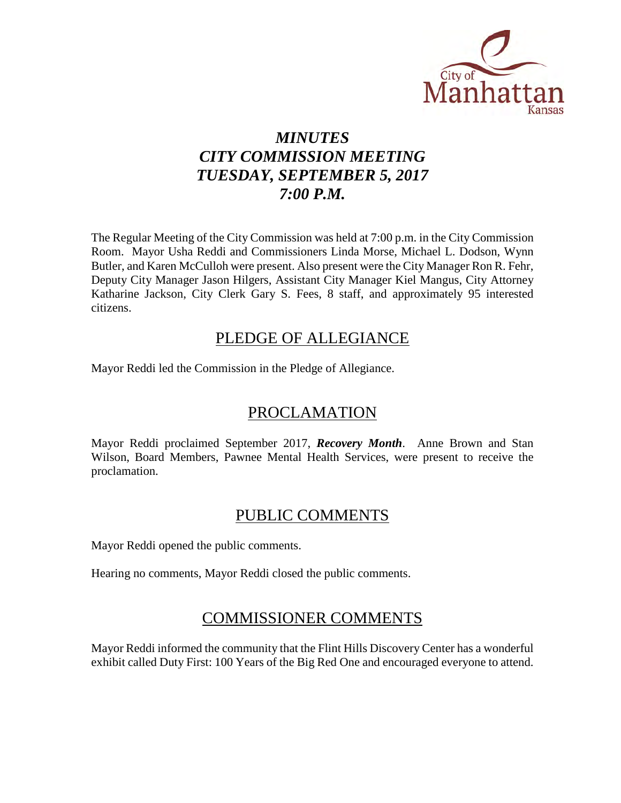

# *MINUTES CITY COMMISSION MEETING TUESDAY, SEPTEMBER 5, 2017 7:00 P.M.*

The Regular Meeting of the City Commission was held at 7:00 p.m. in the City Commission Room. Mayor Usha Reddi and Commissioners Linda Morse, Michael L. Dodson, Wynn Butler, and Karen McCulloh were present. Also present were the City Manager Ron R. Fehr, Deputy City Manager Jason Hilgers, Assistant City Manager Kiel Mangus, City Attorney Katharine Jackson, City Clerk Gary S. Fees, 8 staff, and approximately 95 interested citizens.

# PLEDGE OF ALLEGIANCE

Mayor Reddi led the Commission in the Pledge of Allegiance.

# PROCLAMATION

Mayor Reddi proclaimed September 2017, *Recovery Month*. Anne Brown and Stan Wilson, Board Members, Pawnee Mental Health Services, were present to receive the proclamation.

# PUBLIC COMMENTS

Mayor Reddi opened the public comments.

Hearing no comments, Mayor Reddi closed the public comments.

# COMMISSIONER COMMENTS

Mayor Reddi informed the community that the Flint Hills Discovery Center has a wonderful exhibit called Duty First: 100 Years of the Big Red One and encouraged everyone to attend.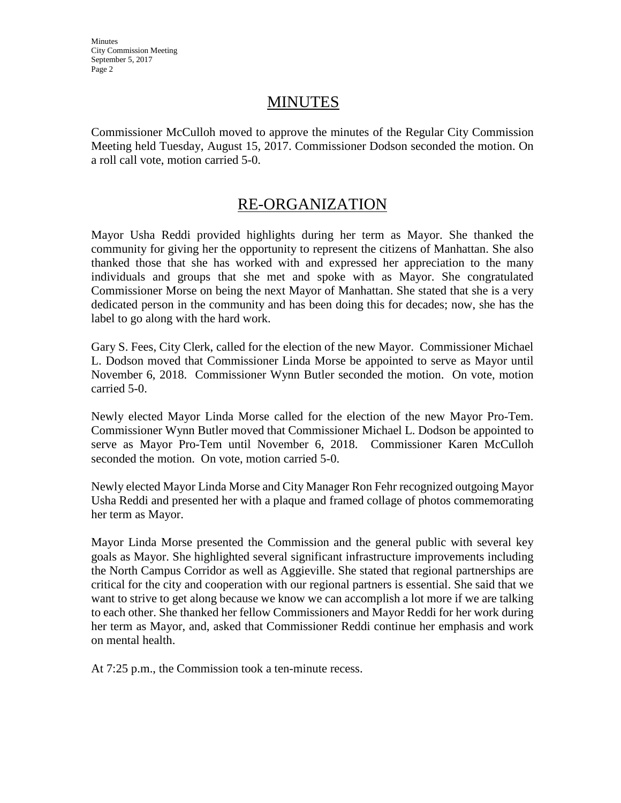# MINUTES

Commissioner McCulloh moved to approve the minutes of the Regular City Commission Meeting held Tuesday, August 15, 2017. Commissioner Dodson seconded the motion. On a roll call vote, motion carried 5-0.

# RE-ORGANIZATION

Mayor Usha Reddi provided highlights during her term as Mayor. She thanked the community for giving her the opportunity to represent the citizens of Manhattan. She also thanked those that she has worked with and expressed her appreciation to the many individuals and groups that she met and spoke with as Mayor. She congratulated Commissioner Morse on being the next Mayor of Manhattan. She stated that she is a very dedicated person in the community and has been doing this for decades; now, she has the label to go along with the hard work.

Gary S. Fees, City Clerk, called for the election of the new Mayor. Commissioner Michael L. Dodson moved that Commissioner Linda Morse be appointed to serve as Mayor until November 6, 2018. Commissioner Wynn Butler seconded the motion. On vote, motion carried 5-0.

Newly elected Mayor Linda Morse called for the election of the new Mayor Pro-Tem. Commissioner Wynn Butler moved that Commissioner Michael L. Dodson be appointed to serve as Mayor Pro-Tem until November 6, 2018. Commissioner Karen McCulloh seconded the motion. On vote, motion carried 5-0.

Newly elected Mayor Linda Morse and City Manager Ron Fehr recognized outgoing Mayor Usha Reddi and presented her with a plaque and framed collage of photos commemorating her term as Mayor.

Mayor Linda Morse presented the Commission and the general public with several key goals as Mayor. She highlighted several significant infrastructure improvements including the North Campus Corridor as well as Aggieville. She stated that regional partnerships are critical for the city and cooperation with our regional partners is essential. She said that we want to strive to get along because we know we can accomplish a lot more if we are talking to each other. She thanked her fellow Commissioners and Mayor Reddi for her work during her term as Mayor, and, asked that Commissioner Reddi continue her emphasis and work on mental health.

At 7:25 p.m., the Commission took a ten-minute recess.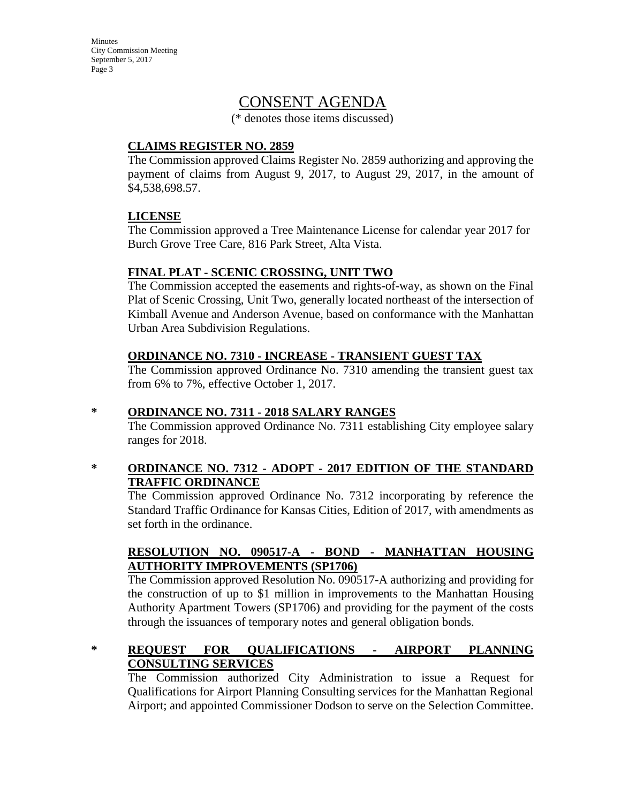# CONSENT AGENDA

(\* denotes those items discussed)

#### **CLAIMS REGISTER NO. 2859**

The Commission approved Claims Register No. 2859 authorizing and approving the payment of claims from August 9, 2017, to August 29, 2017, in the amount of \$4,538,698.57.

### **LICENSE**

The Commission approved a Tree Maintenance License for calendar year 2017 for Burch Grove Tree Care, 816 Park Street, Alta Vista.

### **FINAL PLAT - SCENIC CROSSING, UNIT TWO**

The Commission accepted the easements and rights-of-way, as shown on the Final Plat of Scenic Crossing, Unit Two, generally located northeast of the intersection of Kimball Avenue and Anderson Avenue, based on conformance with the Manhattan Urban Area Subdivision Regulations.

### **ORDINANCE NO. 7310 - INCREASE - TRANSIENT GUEST TAX**

The Commission approved Ordinance No. 7310 amending the transient guest tax from 6% to 7%, effective October 1, 2017.

### **\* ORDINANCE NO. 7311 - 2018 SALARY RANGES**

The Commission approved Ordinance No. 7311 establishing City employee salary ranges for 2018.

#### **\* ORDINANCE NO. 7312 - ADOPT - 2017 EDITION OF THE STANDARD TRAFFIC ORDINANCE**

The Commission approved Ordinance No. 7312 incorporating by reference the Standard Traffic Ordinance for Kansas Cities, Edition of 2017, with amendments as set forth in the ordinance.

### **RESOLUTION NO. 090517-A - BOND - MANHATTAN HOUSING AUTHORITY IMPROVEMENTS (SP1706)**

The Commission approved Resolution No. 090517-A authorizing and providing for the construction of up to \$1 million in improvements to the Manhattan Housing Authority Apartment Towers (SP1706) and providing for the payment of the costs through the issuances of temporary notes and general obligation bonds.

## **\* REQUEST FOR QUALIFICATIONS - AIRPORT PLANNING CONSULTING SERVICES**

The Commission authorized City Administration to issue a Request for Qualifications for Airport Planning Consulting services for the Manhattan Regional Airport; and appointed Commissioner Dodson to serve on the Selection Committee.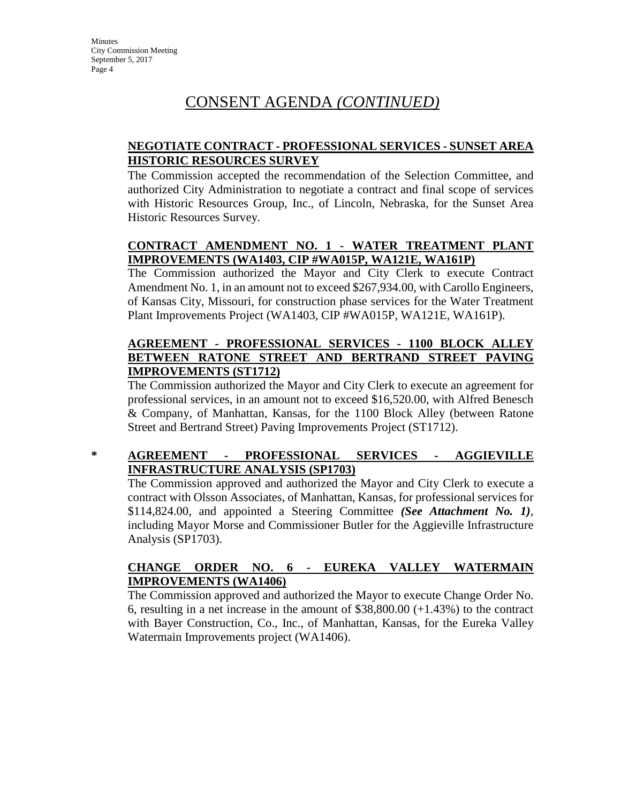# CONSENT AGENDA *(CONTINUED)*

## **NEGOTIATE CONTRACT - PROFESSIONAL SERVICES - SUNSET AREA HISTORIC RESOURCES SURVEY**

The Commission accepted the recommendation of the Selection Committee, and authorized City Administration to negotiate a contract and final scope of services with Historic Resources Group, Inc., of Lincoln, Nebraska, for the Sunset Area Historic Resources Survey.

## **CONTRACT AMENDMENT NO. 1 - WATER TREATMENT PLANT IMPROVEMENTS (WA1403, CIP #WA015P, WA121E, WA161P)**

The Commission authorized the Mayor and City Clerk to execute Contract Amendment No. 1, in an amount not to exceed \$267,934.00, with Carollo Engineers, of Kansas City, Missouri, for construction phase services for the Water Treatment Plant Improvements Project (WA1403, CIP #WA015P, WA121E, WA161P).

## **AGREEMENT - PROFESSIONAL SERVICES - 1100 BLOCK ALLEY BETWEEN RATONE STREET AND BERTRAND STREET PAVING IMPROVEMENTS (ST1712)**

The Commission authorized the Mayor and City Clerk to execute an agreement for professional services, in an amount not to exceed \$16,520.00, with Alfred Benesch & Company, of Manhattan, Kansas, for the 1100 Block Alley (between Ratone Street and Bertrand Street) Paving Improvements Project (ST1712).

### **\* AGREEMENT - PROFESSIONAL SERVICES - AGGIEVILLE INFRASTRUCTURE ANALYSIS (SP1703)**

The Commission approved and authorized the Mayor and City Clerk to execute a contract with Olsson Associates, of Manhattan, Kansas, for professional services for \$114,824.00, and appointed a Steering Committee *(See Attachment No. 1)*, including Mayor Morse and Commissioner Butler for the Aggieville Infrastructure Analysis (SP1703).

## **CHANGE ORDER NO. 6 - EUREKA VALLEY WATERMAIN IMPROVEMENTS (WA1406)**

The Commission approved and authorized the Mayor to execute Change Order No. 6, resulting in a net increase in the amount of  $$38,800.00 (+1.43%)$  to the contract with Bayer Construction, Co., Inc., of Manhattan, Kansas, for the Eureka Valley Watermain Improvements project (WA1406).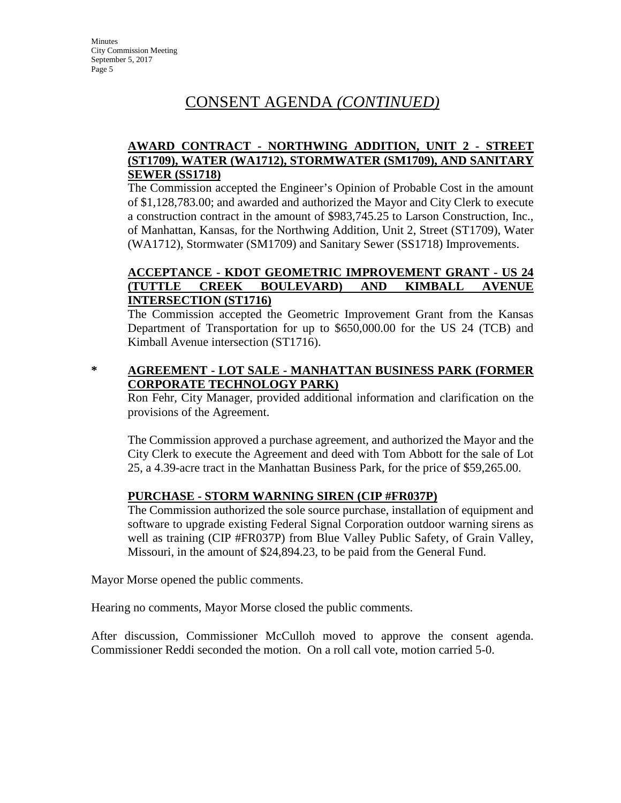# CONSENT AGENDA *(CONTINUED)*

## **AWARD CONTRACT - NORTHWING ADDITION, UNIT 2 - STREET (ST1709), WATER (WA1712), STORMWATER (SM1709), AND SANITARY SEWER (SS1718)**

The Commission accepted the Engineer's Opinion of Probable Cost in the amount of \$1,128,783.00; and awarded and authorized the Mayor and City Clerk to execute a construction contract in the amount of \$983,745.25 to Larson Construction, Inc., of Manhattan, Kansas, for the Northwing Addition, Unit 2, Street (ST1709), Water (WA1712), Stormwater (SM1709) and Sanitary Sewer (SS1718) Improvements.

### **ACCEPTANCE - KDOT GEOMETRIC IMPROVEMENT GRANT - US 24 (TUTTLE CREEK BOULEVARD) AND KIMBALL AVENUE INTERSECTION (ST1716)**

The Commission accepted the Geometric Improvement Grant from the Kansas Department of Transportation for up to \$650,000.00 for the US 24 (TCB) and Kimball Avenue intersection (ST1716).

## **\* AGREEMENT - LOT SALE - MANHATTAN BUSINESS PARK (FORMER CORPORATE TECHNOLOGY PARK)**

Ron Fehr, City Manager, provided additional information and clarification on the provisions of the Agreement.

The Commission approved a purchase agreement, and authorized the Mayor and the City Clerk to execute the Agreement and deed with Tom Abbott for the sale of Lot 25, a 4.39-acre tract in the Manhattan Business Park, for the price of \$59,265.00.

## **PURCHASE - STORM WARNING SIREN (CIP #FR037P)**

The Commission authorized the sole source purchase, installation of equipment and software to upgrade existing Federal Signal Corporation outdoor warning sirens as well as training (CIP #FR037P) from Blue Valley Public Safety, of Grain Valley, Missouri, in the amount of \$24,894.23, to be paid from the General Fund.

Mayor Morse opened the public comments.

Hearing no comments, Mayor Morse closed the public comments.

After discussion, Commissioner McCulloh moved to approve the consent agenda. Commissioner Reddi seconded the motion. On a roll call vote, motion carried 5-0.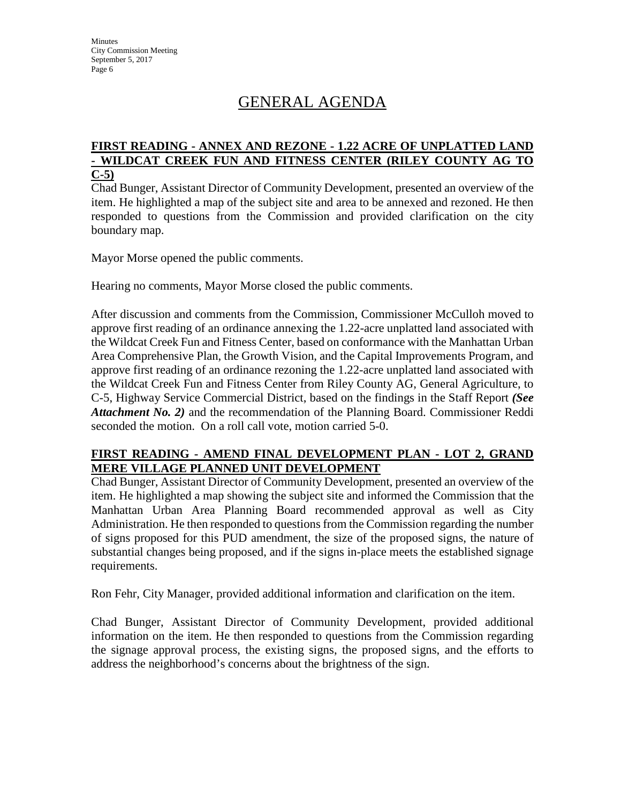# GENERAL AGENDA

#### **FIRST READING - ANNEX AND REZONE - 1.22 ACRE OF UNPLATTED LAND - WILDCAT CREEK FUN AND FITNESS CENTER (RILEY COUNTY AG TO C-5)**

Chad Bunger, Assistant Director of Community Development, presented an overview of the item. He highlighted a map of the subject site and area to be annexed and rezoned. He then responded to questions from the Commission and provided clarification on the city boundary map.

Mayor Morse opened the public comments.

Hearing no comments, Mayor Morse closed the public comments.

After discussion and comments from the Commission, Commissioner McCulloh moved to approve first reading of an ordinance annexing the 1.22-acre unplatted land associated with the Wildcat Creek Fun and Fitness Center, based on conformance with the Manhattan Urban Area Comprehensive Plan, the Growth Vision, and the Capital Improvements Program, and approve first reading of an ordinance rezoning the 1.22-acre unplatted land associated with the Wildcat Creek Fun and Fitness Center from Riley County AG, General Agriculture, to C-5, Highway Service Commercial District, based on the findings in the Staff Report *(See Attachment No. 2)* and the recommendation of the Planning Board. Commissioner Reddi seconded the motion. On a roll call vote, motion carried 5-0.

### **FIRST READING - AMEND FINAL DEVELOPMENT PLAN - LOT 2, GRAND MERE VILLAGE PLANNED UNIT DEVELOPMENT**

Chad Bunger, Assistant Director of Community Development, presented an overview of the item. He highlighted a map showing the subject site and informed the Commission that the Manhattan Urban Area Planning Board recommended approval as well as City Administration. He then responded to questions from the Commission regarding the number of signs proposed for this PUD amendment, the size of the proposed signs, the nature of substantial changes being proposed, and if the signs in-place meets the established signage requirements.

Ron Fehr, City Manager, provided additional information and clarification on the item.

Chad Bunger, Assistant Director of Community Development, provided additional information on the item. He then responded to questions from the Commission regarding the signage approval process, the existing signs, the proposed signs, and the efforts to address the neighborhood's concerns about the brightness of the sign.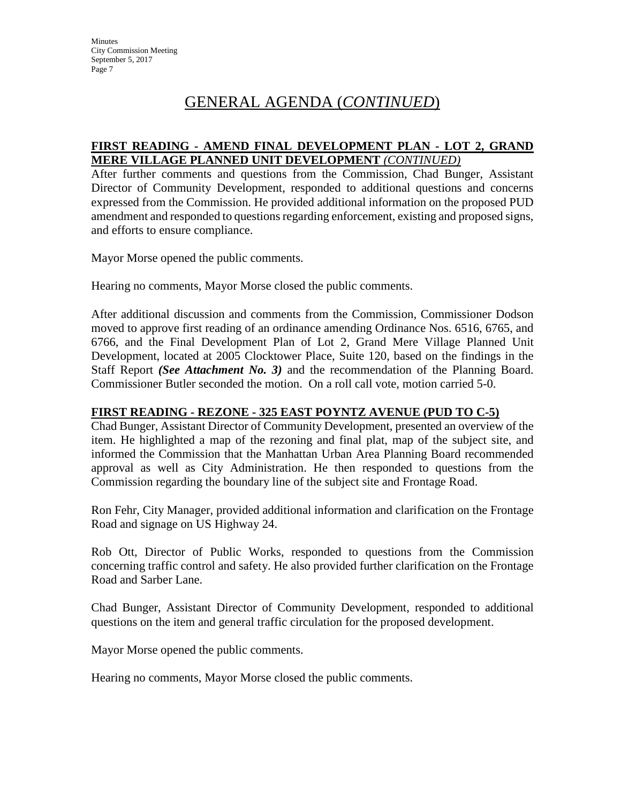#### **FIRST READING - AMEND FINAL DEVELOPMENT PLAN - LOT 2, GRAND MERE VILLAGE PLANNED UNIT DEVELOPMENT** *(CONTINUED)*

After further comments and questions from the Commission, Chad Bunger, Assistant Director of Community Development, responded to additional questions and concerns expressed from the Commission. He provided additional information on the proposed PUD amendment and responded to questions regarding enforcement, existing and proposed signs, and efforts to ensure compliance.

Mayor Morse opened the public comments.

Hearing no comments, Mayor Morse closed the public comments.

After additional discussion and comments from the Commission, Commissioner Dodson moved to approve first reading of an ordinance amending Ordinance Nos. 6516, 6765, and 6766, and the Final Development Plan of Lot 2, Grand Mere Village Planned Unit Development, located at 2005 Clocktower Place, Suite 120, based on the findings in the Staff Report *(See Attachment No. 3)* and the recommendation of the Planning Board. Commissioner Butler seconded the motion. On a roll call vote, motion carried 5-0.

#### **FIRST READING - REZONE - 325 EAST POYNTZ AVENUE (PUD TO C-5)**

Chad Bunger, Assistant Director of Community Development, presented an overview of the item. He highlighted a map of the rezoning and final plat, map of the subject site, and informed the Commission that the Manhattan Urban Area Planning Board recommended approval as well as City Administration. He then responded to questions from the Commission regarding the boundary line of the subject site and Frontage Road.

Ron Fehr, City Manager, provided additional information and clarification on the Frontage Road and signage on US Highway 24.

Rob Ott, Director of Public Works, responded to questions from the Commission concerning traffic control and safety. He also provided further clarification on the Frontage Road and Sarber Lane.

Chad Bunger, Assistant Director of Community Development, responded to additional questions on the item and general traffic circulation for the proposed development.

Mayor Morse opened the public comments.

Hearing no comments, Mayor Morse closed the public comments.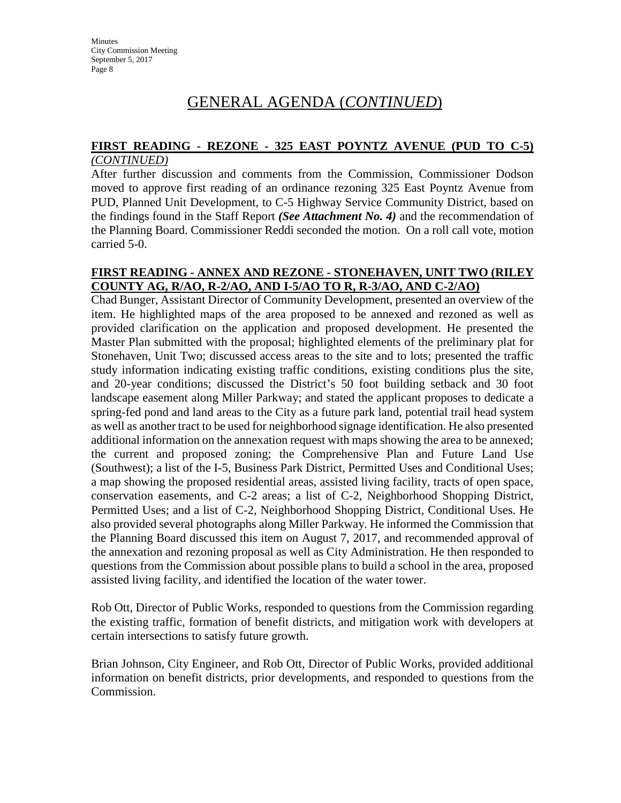# **FIRST READING - REZONE - 325 EAST POYNTZ AVENUE (PUD TO C-5)**

#### *(CONTINUED)*

After further discussion and comments from the Commission, Commissioner Dodson moved to approve first reading of an ordinance rezoning 325 East Poyntz Avenue from PUD, Planned Unit Development, to C-5 Highway Service Community District, based on the findings found in the Staff Report *(See Attachment No. 4)* and the recommendation of the Planning Board. Commissioner Reddi seconded the motion. On a roll call vote, motion carried 5-0.

## **FIRST READING - ANNEX AND REZONE - STONEHAVEN, UNIT TWO (RILEY COUNTY AG, R/AO, R-2/AO, AND I-5/AO TO R, R-3/AO, AND C-2/AO)**

Chad Bunger, Assistant Director of Community Development, presented an overview of the item. He highlighted maps of the area proposed to be annexed and rezoned as well as provided clarification on the application and proposed development. He presented the Master Plan submitted with the proposal; highlighted elements of the preliminary plat for Stonehaven, Unit Two; discussed access areas to the site and to lots; presented the traffic study information indicating existing traffic conditions, existing conditions plus the site, and 20-year conditions; discussed the District's 50 foot building setback and 30 foot landscape easement along Miller Parkway; and stated the applicant proposes to dedicate a spring-fed pond and land areas to the City as a future park land, potential trail head system as well as another tract to be used for neighborhood signage identification. He also presented additional information on the annexation request with maps showing the area to be annexed; the current and proposed zoning; the Comprehensive Plan and Future Land Use (Southwest); a list of the I-5, Business Park District, Permitted Uses and Conditional Uses; a map showing the proposed residential areas, assisted living facility, tracts of open space, conservation easements, and C-2 areas; a list of C-2, Neighborhood Shopping District, Permitted Uses; and a list of C-2, Neighborhood Shopping District, Conditional Uses. He also provided several photographs along Miller Parkway. He informed the Commission that the Planning Board discussed this item on August 7, 2017, and recommended approval of the annexation and rezoning proposal as well as City Administration. He then responded to questions from the Commission about possible plans to build a school in the area, proposed assisted living facility, and identified the location of the water tower.

Rob Ott, Director of Public Works, responded to questions from the Commission regarding the existing traffic, formation of benefit districts, and mitigation work with developers at certain intersections to satisfy future growth.

Brian Johnson, City Engineer, and Rob Ott, Director of Public Works, provided additional information on benefit districts, prior developments, and responded to questions from the Commission.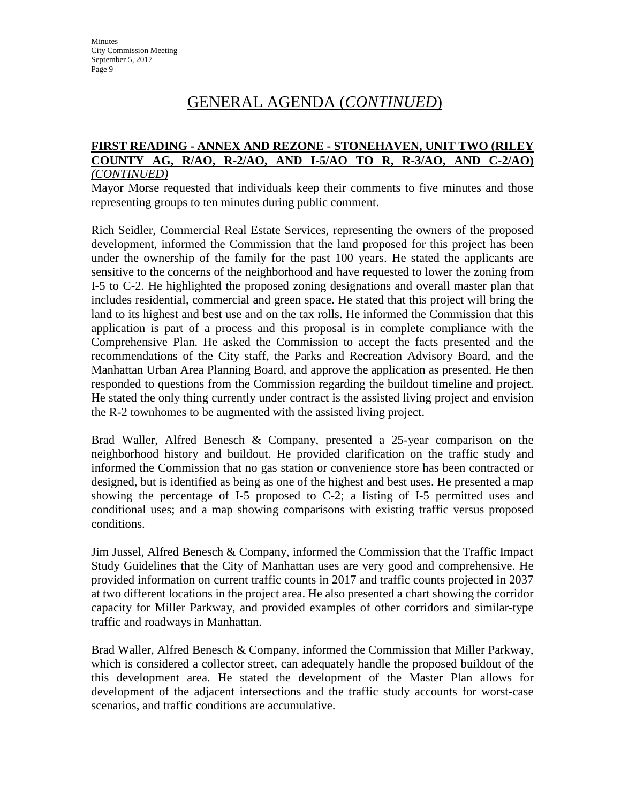#### **FIRST READING - ANNEX AND REZONE - STONEHAVEN, UNIT TWO (RILEY COUNTY AG, R/AO, R-2/AO, AND I-5/AO TO R, R-3/AO, AND C-2/AO)**  *(CONTINUED)*

Mayor Morse requested that individuals keep their comments to five minutes and those representing groups to ten minutes during public comment.

Rich Seidler, Commercial Real Estate Services, representing the owners of the proposed development, informed the Commission that the land proposed for this project has been under the ownership of the family for the past 100 years. He stated the applicants are sensitive to the concerns of the neighborhood and have requested to lower the zoning from I-5 to C-2. He highlighted the proposed zoning designations and overall master plan that includes residential, commercial and green space. He stated that this project will bring the land to its highest and best use and on the tax rolls. He informed the Commission that this application is part of a process and this proposal is in complete compliance with the Comprehensive Plan. He asked the Commission to accept the facts presented and the recommendations of the City staff, the Parks and Recreation Advisory Board, and the Manhattan Urban Area Planning Board, and approve the application as presented. He then responded to questions from the Commission regarding the buildout timeline and project. He stated the only thing currently under contract is the assisted living project and envision the R-2 townhomes to be augmented with the assisted living project.

Brad Waller, Alfred Benesch & Company, presented a 25-year comparison on the neighborhood history and buildout. He provided clarification on the traffic study and informed the Commission that no gas station or convenience store has been contracted or designed, but is identified as being as one of the highest and best uses. He presented a map showing the percentage of I-5 proposed to C-2; a listing of I-5 permitted uses and conditional uses; and a map showing comparisons with existing traffic versus proposed conditions.

Jim Jussel, Alfred Benesch & Company, informed the Commission that the Traffic Impact Study Guidelines that the City of Manhattan uses are very good and comprehensive. He provided information on current traffic counts in 2017 and traffic counts projected in 2037 at two different locations in the project area. He also presented a chart showing the corridor capacity for Miller Parkway, and provided examples of other corridors and similar-type traffic and roadways in Manhattan.

Brad Waller, Alfred Benesch & Company, informed the Commission that Miller Parkway, which is considered a collector street, can adequately handle the proposed buildout of the this development area. He stated the development of the Master Plan allows for development of the adjacent intersections and the traffic study accounts for worst-case scenarios, and traffic conditions are accumulative.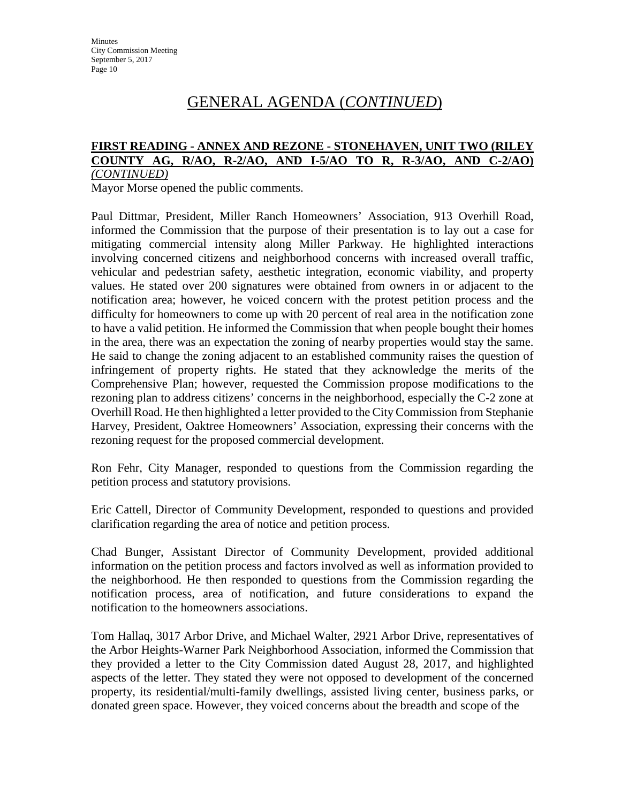#### **FIRST READING - ANNEX AND REZONE - STONEHAVEN, UNIT TWO (RILEY COUNTY AG, R/AO, R-2/AO, AND I-5/AO TO R, R-3/AO, AND C-2/AO)**  *(CONTINUED)*

Mayor Morse opened the public comments.

Paul Dittmar, President, Miller Ranch Homeowners' Association, 913 Overhill Road, informed the Commission that the purpose of their presentation is to lay out a case for mitigating commercial intensity along Miller Parkway. He highlighted interactions involving concerned citizens and neighborhood concerns with increased overall traffic, vehicular and pedestrian safety, aesthetic integration, economic viability, and property values. He stated over 200 signatures were obtained from owners in or adjacent to the notification area; however, he voiced concern with the protest petition process and the difficulty for homeowners to come up with 20 percent of real area in the notification zone to have a valid petition. He informed the Commission that when people bought their homes in the area, there was an expectation the zoning of nearby properties would stay the same. He said to change the zoning adjacent to an established community raises the question of infringement of property rights. He stated that they acknowledge the merits of the Comprehensive Plan; however, requested the Commission propose modifications to the rezoning plan to address citizens' concerns in the neighborhood, especially the C-2 zone at Overhill Road. He then highlighted a letter provided to the City Commission from Stephanie Harvey, President, Oaktree Homeowners' Association, expressing their concerns with the rezoning request for the proposed commercial development.

Ron Fehr, City Manager, responded to questions from the Commission regarding the petition process and statutory provisions.

Eric Cattell, Director of Community Development, responded to questions and provided clarification regarding the area of notice and petition process.

Chad Bunger, Assistant Director of Community Development, provided additional information on the petition process and factors involved as well as information provided to the neighborhood. He then responded to questions from the Commission regarding the notification process, area of notification, and future considerations to expand the notification to the homeowners associations.

Tom Hallaq, 3017 Arbor Drive, and Michael Walter, 2921 Arbor Drive, representatives of the Arbor Heights-Warner Park Neighborhood Association, informed the Commission that they provided a letter to the City Commission dated August 28, 2017, and highlighted aspects of the letter. They stated they were not opposed to development of the concerned property, its residential/multi-family dwellings, assisted living center, business parks, or donated green space. However, they voiced concerns about the breadth and scope of the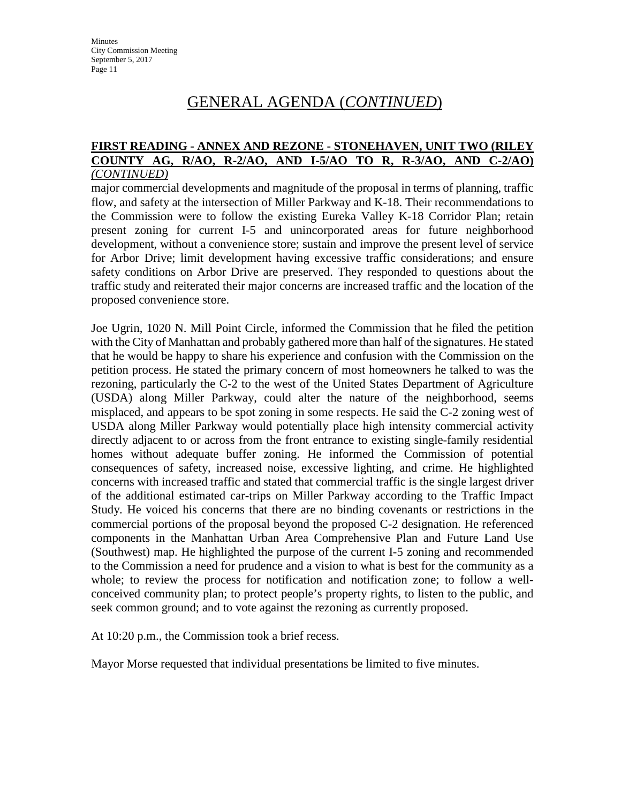#### **FIRST READING - ANNEX AND REZONE - STONEHAVEN, UNIT TWO (RILEY COUNTY AG, R/AO, R-2/AO, AND I-5/AO TO R, R-3/AO, AND C-2/AO)**  *(CONTINUED)*

major commercial developments and magnitude of the proposal in terms of planning, traffic flow, and safety at the intersection of Miller Parkway and K-18. Their recommendations to the Commission were to follow the existing Eureka Valley K-18 Corridor Plan; retain present zoning for current I-5 and unincorporated areas for future neighborhood development, without a convenience store; sustain and improve the present level of service for Arbor Drive; limit development having excessive traffic considerations; and ensure safety conditions on Arbor Drive are preserved. They responded to questions about the traffic study and reiterated their major concerns are increased traffic and the location of the proposed convenience store.

Joe Ugrin, 1020 N. Mill Point Circle, informed the Commission that he filed the petition with the City of Manhattan and probably gathered more than half of the signatures. He stated that he would be happy to share his experience and confusion with the Commission on the petition process. He stated the primary concern of most homeowners he talked to was the rezoning, particularly the C-2 to the west of the United States Department of Agriculture (USDA) along Miller Parkway, could alter the nature of the neighborhood, seems misplaced, and appears to be spot zoning in some respects. He said the C-2 zoning west of USDA along Miller Parkway would potentially place high intensity commercial activity directly adjacent to or across from the front entrance to existing single-family residential homes without adequate buffer zoning. He informed the Commission of potential consequences of safety, increased noise, excessive lighting, and crime. He highlighted concerns with increased traffic and stated that commercial traffic is the single largest driver of the additional estimated car-trips on Miller Parkway according to the Traffic Impact Study. He voiced his concerns that there are no binding covenants or restrictions in the commercial portions of the proposal beyond the proposed C-2 designation. He referenced components in the Manhattan Urban Area Comprehensive Plan and Future Land Use (Southwest) map. He highlighted the purpose of the current I-5 zoning and recommended to the Commission a need for prudence and a vision to what is best for the community as a whole; to review the process for notification and notification zone; to follow a wellconceived community plan; to protect people's property rights, to listen to the public, and seek common ground; and to vote against the rezoning as currently proposed.

At 10:20 p.m., the Commission took a brief recess.

Mayor Morse requested that individual presentations be limited to five minutes.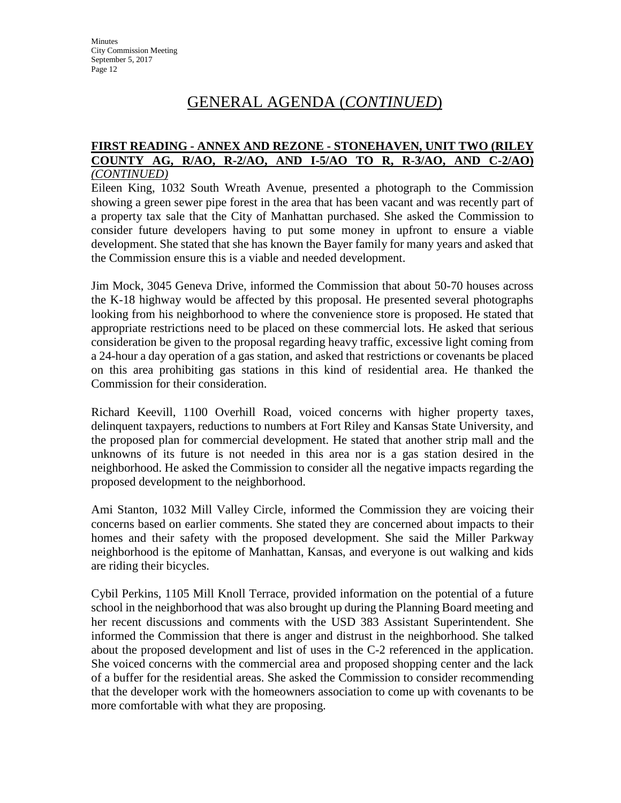#### **FIRST READING - ANNEX AND REZONE - STONEHAVEN, UNIT TWO (RILEY COUNTY AG, R/AO, R-2/AO, AND I-5/AO TO R, R-3/AO, AND C-2/AO)**  *(CONTINUED)*

Eileen King, 1032 South Wreath Avenue, presented a photograph to the Commission showing a green sewer pipe forest in the area that has been vacant and was recently part of a property tax sale that the City of Manhattan purchased. She asked the Commission to consider future developers having to put some money in upfront to ensure a viable development. She stated that she has known the Bayer family for many years and asked that the Commission ensure this is a viable and needed development.

Jim Mock, 3045 Geneva Drive, informed the Commission that about 50-70 houses across the K-18 highway would be affected by this proposal. He presented several photographs looking from his neighborhood to where the convenience store is proposed. He stated that appropriate restrictions need to be placed on these commercial lots. He asked that serious consideration be given to the proposal regarding heavy traffic, excessive light coming from a 24-hour a day operation of a gas station, and asked that restrictions or covenants be placed on this area prohibiting gas stations in this kind of residential area. He thanked the Commission for their consideration.

Richard Keevill, 1100 Overhill Road, voiced concerns with higher property taxes, delinquent taxpayers, reductions to numbers at Fort Riley and Kansas State University, and the proposed plan for commercial development. He stated that another strip mall and the unknowns of its future is not needed in this area nor is a gas station desired in the neighborhood. He asked the Commission to consider all the negative impacts regarding the proposed development to the neighborhood.

Ami Stanton, 1032 Mill Valley Circle, informed the Commission they are voicing their concerns based on earlier comments. She stated they are concerned about impacts to their homes and their safety with the proposed development. She said the Miller Parkway neighborhood is the epitome of Manhattan, Kansas, and everyone is out walking and kids are riding their bicycles.

Cybil Perkins, 1105 Mill Knoll Terrace, provided information on the potential of a future school in the neighborhood that was also brought up during the Planning Board meeting and her recent discussions and comments with the USD 383 Assistant Superintendent. She informed the Commission that there is anger and distrust in the neighborhood. She talked about the proposed development and list of uses in the C-2 referenced in the application. She voiced concerns with the commercial area and proposed shopping center and the lack of a buffer for the residential areas. She asked the Commission to consider recommending that the developer work with the homeowners association to come up with covenants to be more comfortable with what they are proposing.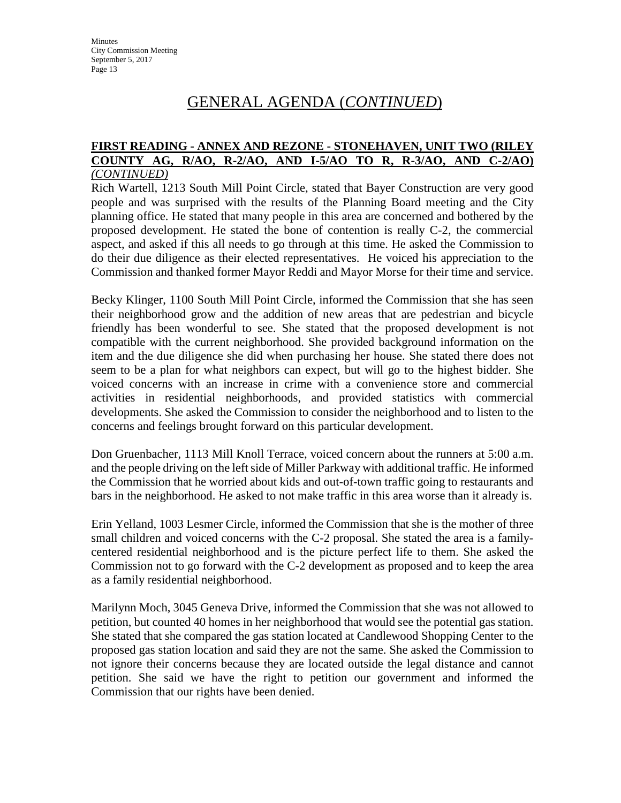#### **FIRST READING - ANNEX AND REZONE - STONEHAVEN, UNIT TWO (RILEY COUNTY AG, R/AO, R-2/AO, AND I-5/AO TO R, R-3/AO, AND C-2/AO)**  *(CONTINUED)*

Rich Wartell, 1213 South Mill Point Circle, stated that Bayer Construction are very good people and was surprised with the results of the Planning Board meeting and the City planning office. He stated that many people in this area are concerned and bothered by the proposed development. He stated the bone of contention is really C-2, the commercial aspect, and asked if this all needs to go through at this time. He asked the Commission to do their due diligence as their elected representatives. He voiced his appreciation to the Commission and thanked former Mayor Reddi and Mayor Morse for their time and service.

Becky Klinger, 1100 South Mill Point Circle, informed the Commission that she has seen their neighborhood grow and the addition of new areas that are pedestrian and bicycle friendly has been wonderful to see. She stated that the proposed development is not compatible with the current neighborhood. She provided background information on the item and the due diligence she did when purchasing her house. She stated there does not seem to be a plan for what neighbors can expect, but will go to the highest bidder. She voiced concerns with an increase in crime with a convenience store and commercial activities in residential neighborhoods, and provided statistics with commercial developments. She asked the Commission to consider the neighborhood and to listen to the concerns and feelings brought forward on this particular development.

Don Gruenbacher, 1113 Mill Knoll Terrace, voiced concern about the runners at 5:00 a.m. and the people driving on the left side of Miller Parkway with additional traffic. He informed the Commission that he worried about kids and out-of-town traffic going to restaurants and bars in the neighborhood. He asked to not make traffic in this area worse than it already is.

Erin Yelland, 1003 Lesmer Circle, informed the Commission that she is the mother of three small children and voiced concerns with the C-2 proposal. She stated the area is a familycentered residential neighborhood and is the picture perfect life to them. She asked the Commission not to go forward with the C-2 development as proposed and to keep the area as a family residential neighborhood.

Marilynn Moch, 3045 Geneva Drive, informed the Commission that she was not allowed to petition, but counted 40 homes in her neighborhood that would see the potential gas station. She stated that she compared the gas station located at Candlewood Shopping Center to the proposed gas station location and said they are not the same. She asked the Commission to not ignore their concerns because they are located outside the legal distance and cannot petition. She said we have the right to petition our government and informed the Commission that our rights have been denied.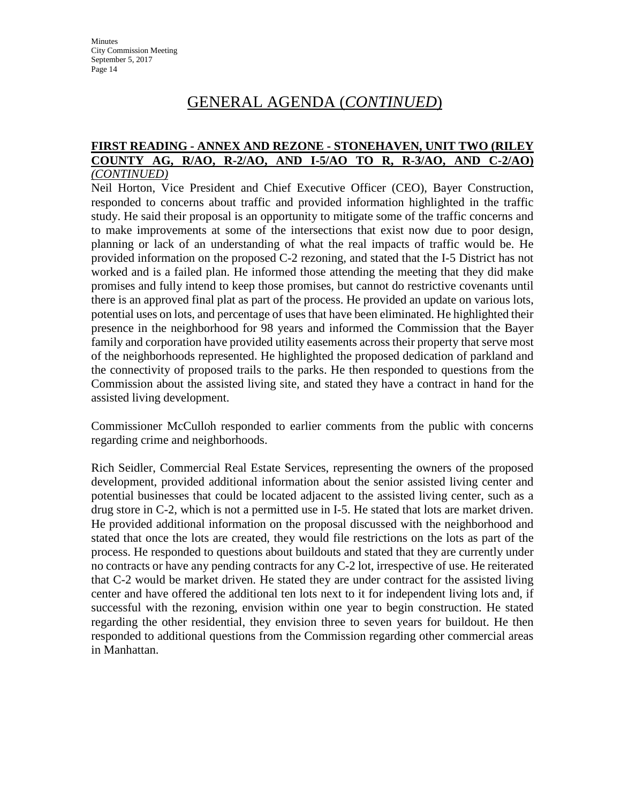#### **FIRST READING - ANNEX AND REZONE - STONEHAVEN, UNIT TWO (RILEY COUNTY AG, R/AO, R-2/AO, AND I-5/AO TO R, R-3/AO, AND C-2/AO)**  *(CONTINUED)*

Neil Horton, Vice President and Chief Executive Officer (CEO), Bayer Construction, responded to concerns about traffic and provided information highlighted in the traffic study. He said their proposal is an opportunity to mitigate some of the traffic concerns and to make improvements at some of the intersections that exist now due to poor design, planning or lack of an understanding of what the real impacts of traffic would be. He provided information on the proposed C-2 rezoning, and stated that the I-5 District has not worked and is a failed plan. He informed those attending the meeting that they did make promises and fully intend to keep those promises, but cannot do restrictive covenants until there is an approved final plat as part of the process. He provided an update on various lots, potential uses on lots, and percentage of uses that have been eliminated. He highlighted their presence in the neighborhood for 98 years and informed the Commission that the Bayer family and corporation have provided utility easements across their property that serve most of the neighborhoods represented. He highlighted the proposed dedication of parkland and the connectivity of proposed trails to the parks. He then responded to questions from the Commission about the assisted living site, and stated they have a contract in hand for the assisted living development.

Commissioner McCulloh responded to earlier comments from the public with concerns regarding crime and neighborhoods.

Rich Seidler, Commercial Real Estate Services, representing the owners of the proposed development, provided additional information about the senior assisted living center and potential businesses that could be located adjacent to the assisted living center, such as a drug store in C-2, which is not a permitted use in I-5. He stated that lots are market driven. He provided additional information on the proposal discussed with the neighborhood and stated that once the lots are created, they would file restrictions on the lots as part of the process. He responded to questions about buildouts and stated that they are currently under no contracts or have any pending contracts for any C-2 lot, irrespective of use. He reiterated that C-2 would be market driven. He stated they are under contract for the assisted living center and have offered the additional ten lots next to it for independent living lots and, if successful with the rezoning, envision within one year to begin construction. He stated regarding the other residential, they envision three to seven years for buildout. He then responded to additional questions from the Commission regarding other commercial areas in Manhattan.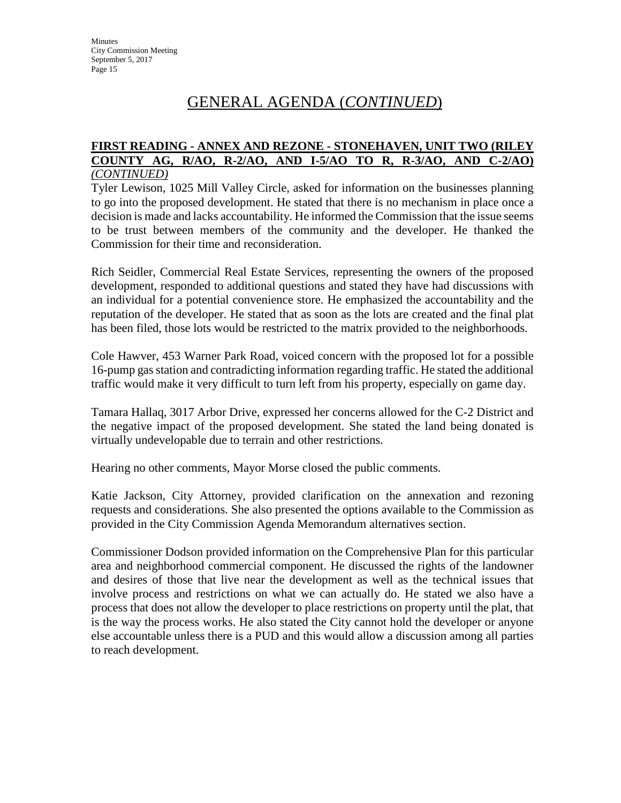#### **FIRST READING - ANNEX AND REZONE - STONEHAVEN, UNIT TWO (RILEY COUNTY AG, R/AO, R-2/AO, AND I-5/AO TO R, R-3/AO, AND C-2/AO)**  *(CONTINUED)*

Tyler Lewison, 1025 Mill Valley Circle, asked for information on the businesses planning to go into the proposed development. He stated that there is no mechanism in place once a decision is made and lacks accountability. He informed the Commission that the issue seems to be trust between members of the community and the developer. He thanked the Commission for their time and reconsideration.

Rich Seidler, Commercial Real Estate Services, representing the owners of the proposed development, responded to additional questions and stated they have had discussions with an individual for a potential convenience store. He emphasized the accountability and the reputation of the developer. He stated that as soon as the lots are created and the final plat has been filed, those lots would be restricted to the matrix provided to the neighborhoods.

Cole Hawver, 453 Warner Park Road, voiced concern with the proposed lot for a possible 16-pump gas station and contradicting information regarding traffic. He stated the additional traffic would make it very difficult to turn left from his property, especially on game day.

Tamara Hallaq, 3017 Arbor Drive, expressed her concerns allowed for the C-2 District and the negative impact of the proposed development. She stated the land being donated is virtually undevelopable due to terrain and other restrictions.

Hearing no other comments, Mayor Morse closed the public comments.

Katie Jackson, City Attorney, provided clarification on the annexation and rezoning requests and considerations. She also presented the options available to the Commission as provided in the City Commission Agenda Memorandum alternatives section.

Commissioner Dodson provided information on the Comprehensive Plan for this particular area and neighborhood commercial component. He discussed the rights of the landowner and desires of those that live near the development as well as the technical issues that involve process and restrictions on what we can actually do. He stated we also have a process that does not allow the developer to place restrictions on property until the plat, that is the way the process works. He also stated the City cannot hold the developer or anyone else accountable unless there is a PUD and this would allow a discussion among all parties to reach development.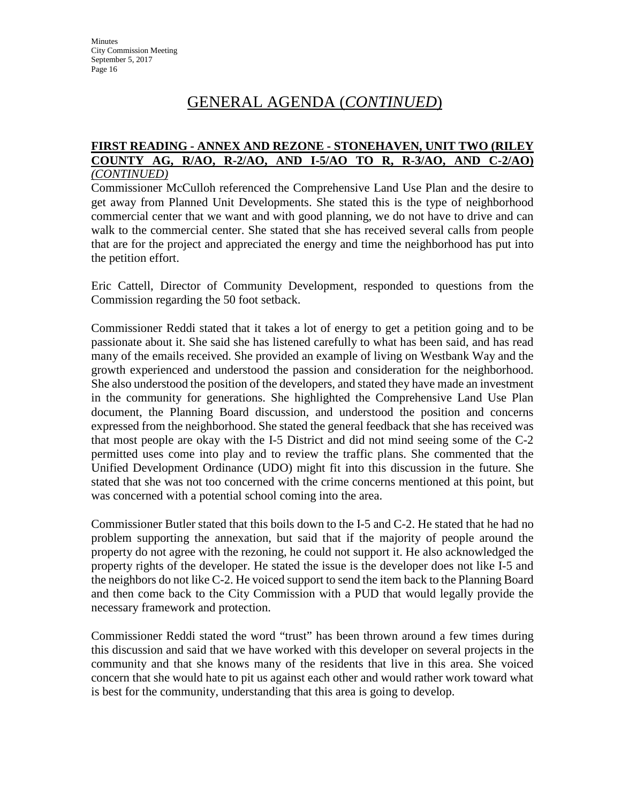#### **FIRST READING - ANNEX AND REZONE - STONEHAVEN, UNIT TWO (RILEY COUNTY AG, R/AO, R-2/AO, AND I-5/AO TO R, R-3/AO, AND C-2/AO)**  *(CONTINUED)*

Commissioner McCulloh referenced the Comprehensive Land Use Plan and the desire to get away from Planned Unit Developments. She stated this is the type of neighborhood commercial center that we want and with good planning, we do not have to drive and can walk to the commercial center. She stated that she has received several calls from people that are for the project and appreciated the energy and time the neighborhood has put into the petition effort.

Eric Cattell, Director of Community Development, responded to questions from the Commission regarding the 50 foot setback.

Commissioner Reddi stated that it takes a lot of energy to get a petition going and to be passionate about it. She said she has listened carefully to what has been said, and has read many of the emails received. She provided an example of living on Westbank Way and the growth experienced and understood the passion and consideration for the neighborhood. She also understood the position of the developers, and stated they have made an investment in the community for generations. She highlighted the Comprehensive Land Use Plan document, the Planning Board discussion, and understood the position and concerns expressed from the neighborhood. She stated the general feedback that she has received was that most people are okay with the I-5 District and did not mind seeing some of the C-2 permitted uses come into play and to review the traffic plans. She commented that the Unified Development Ordinance (UDO) might fit into this discussion in the future. She stated that she was not too concerned with the crime concerns mentioned at this point, but was concerned with a potential school coming into the area.

Commissioner Butler stated that this boils down to the I-5 and C-2. He stated that he had no problem supporting the annexation, but said that if the majority of people around the property do not agree with the rezoning, he could not support it. He also acknowledged the property rights of the developer. He stated the issue is the developer does not like I-5 and the neighbors do not like C-2. He voiced support to send the item back to the Planning Board and then come back to the City Commission with a PUD that would legally provide the necessary framework and protection.

Commissioner Reddi stated the word "trust" has been thrown around a few times during this discussion and said that we have worked with this developer on several projects in the community and that she knows many of the residents that live in this area. She voiced concern that she would hate to pit us against each other and would rather work toward what is best for the community, understanding that this area is going to develop.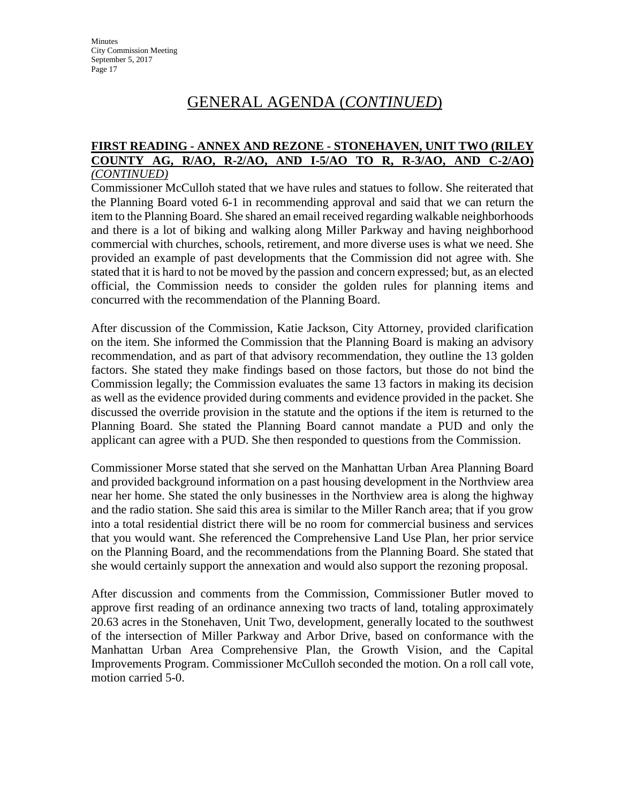#### **FIRST READING - ANNEX AND REZONE - STONEHAVEN, UNIT TWO (RILEY COUNTY AG, R/AO, R-2/AO, AND I-5/AO TO R, R-3/AO, AND C-2/AO)**  *(CONTINUED)*

Commissioner McCulloh stated that we have rules and statues to follow. She reiterated that the Planning Board voted 6-1 in recommending approval and said that we can return the item to the Planning Board. She shared an email received regarding walkable neighborhoods and there is a lot of biking and walking along Miller Parkway and having neighborhood commercial with churches, schools, retirement, and more diverse uses is what we need. She provided an example of past developments that the Commission did not agree with. She stated that it is hard to not be moved by the passion and concern expressed; but, as an elected official, the Commission needs to consider the golden rules for planning items and concurred with the recommendation of the Planning Board.

After discussion of the Commission, Katie Jackson, City Attorney, provided clarification on the item. She informed the Commission that the Planning Board is making an advisory recommendation, and as part of that advisory recommendation, they outline the 13 golden factors. She stated they make findings based on those factors, but those do not bind the Commission legally; the Commission evaluates the same 13 factors in making its decision as well as the evidence provided during comments and evidence provided in the packet. She discussed the override provision in the statute and the options if the item is returned to the Planning Board. She stated the Planning Board cannot mandate a PUD and only the applicant can agree with a PUD. She then responded to questions from the Commission.

Commissioner Morse stated that she served on the Manhattan Urban Area Planning Board and provided background information on a past housing development in the Northview area near her home. She stated the only businesses in the Northview area is along the highway and the radio station. She said this area is similar to the Miller Ranch area; that if you grow into a total residential district there will be no room for commercial business and services that you would want. She referenced the Comprehensive Land Use Plan, her prior service on the Planning Board, and the recommendations from the Planning Board. She stated that she would certainly support the annexation and would also support the rezoning proposal.

After discussion and comments from the Commission, Commissioner Butler moved to approve first reading of an ordinance annexing two tracts of land, totaling approximately 20.63 acres in the Stonehaven, Unit Two, development, generally located to the southwest of the intersection of Miller Parkway and Arbor Drive, based on conformance with the Manhattan Urban Area Comprehensive Plan, the Growth Vision, and the Capital Improvements Program. Commissioner McCulloh seconded the motion. On a roll call vote, motion carried 5-0.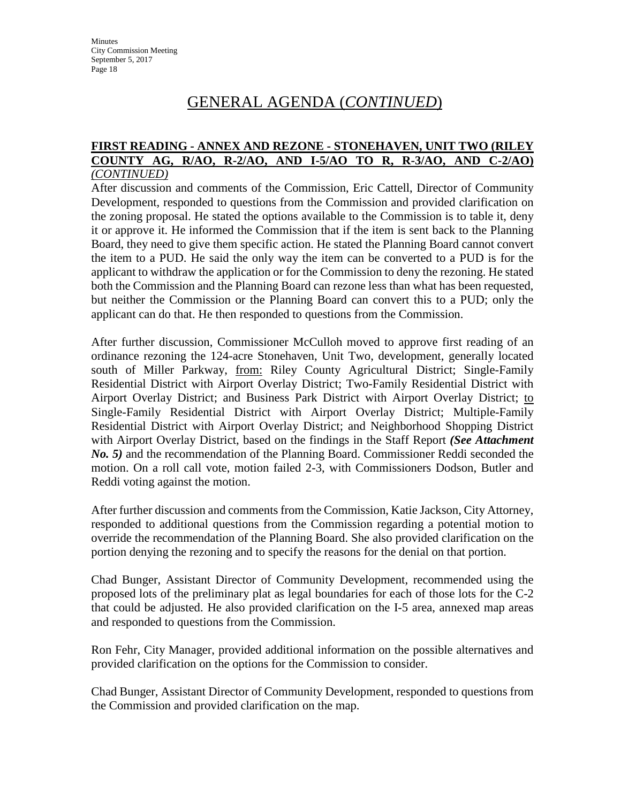#### **FIRST READING - ANNEX AND REZONE - STONEHAVEN, UNIT TWO (RILEY COUNTY AG, R/AO, R-2/AO, AND I-5/AO TO R, R-3/AO, AND C-2/AO)**  *(CONTINUED)*

After discussion and comments of the Commission, Eric Cattell, Director of Community Development, responded to questions from the Commission and provided clarification on the zoning proposal. He stated the options available to the Commission is to table it, deny it or approve it. He informed the Commission that if the item is sent back to the Planning Board, they need to give them specific action. He stated the Planning Board cannot convert the item to a PUD. He said the only way the item can be converted to a PUD is for the applicant to withdraw the application or for the Commission to deny the rezoning. He stated both the Commission and the Planning Board can rezone less than what has been requested, but neither the Commission or the Planning Board can convert this to a PUD; only the applicant can do that. He then responded to questions from the Commission.

After further discussion, Commissioner McCulloh moved to approve first reading of an ordinance rezoning the 124-acre Stonehaven, Unit Two, development, generally located south of Miller Parkway, from: Riley County Agricultural District; Single-Family Residential District with Airport Overlay District; Two-Family Residential District with Airport Overlay District; and Business Park District with Airport Overlay District; to Single-Family Residential District with Airport Overlay District; Multiple-Family Residential District with Airport Overlay District; and Neighborhood Shopping District with Airport Overlay District, based on the findings in the Staff Report *(See Attachment No. 5)* and the recommendation of the Planning Board. Commissioner Reddi seconded the motion. On a roll call vote, motion failed 2-3, with Commissioners Dodson, Butler and Reddi voting against the motion.

After further discussion and comments from the Commission, Katie Jackson, City Attorney, responded to additional questions from the Commission regarding a potential motion to override the recommendation of the Planning Board. She also provided clarification on the portion denying the rezoning and to specify the reasons for the denial on that portion.

Chad Bunger, Assistant Director of Community Development, recommended using the proposed lots of the preliminary plat as legal boundaries for each of those lots for the C-2 that could be adjusted. He also provided clarification on the I-5 area, annexed map areas and responded to questions from the Commission.

Ron Fehr, City Manager, provided additional information on the possible alternatives and provided clarification on the options for the Commission to consider.

Chad Bunger, Assistant Director of Community Development, responded to questions from the Commission and provided clarification on the map.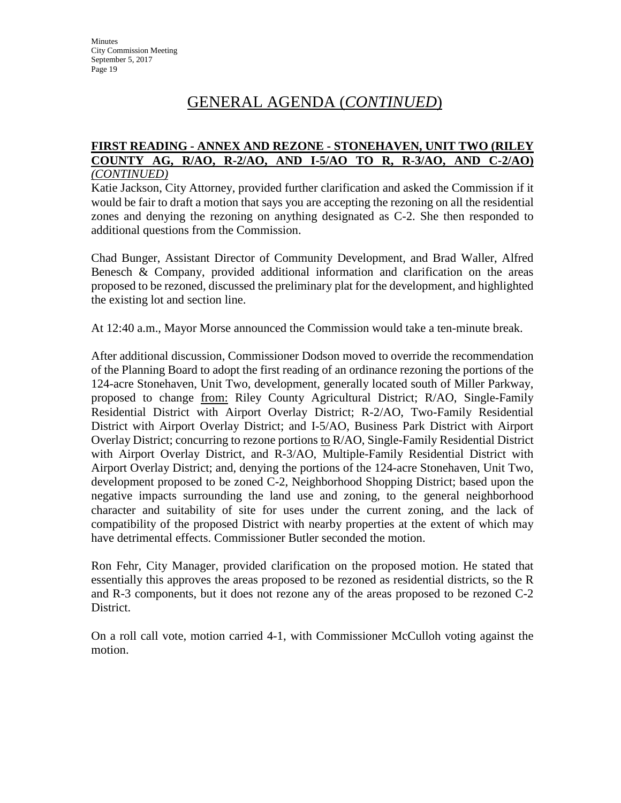#### **FIRST READING - ANNEX AND REZONE - STONEHAVEN, UNIT TWO (RILEY COUNTY AG, R/AO, R-2/AO, AND I-5/AO TO R, R-3/AO, AND C-2/AO)**  *(CONTINUED)*

Katie Jackson, City Attorney, provided further clarification and asked the Commission if it would be fair to draft a motion that says you are accepting the rezoning on all the residential zones and denying the rezoning on anything designated as C-2. She then responded to additional questions from the Commission.

Chad Bunger, Assistant Director of Community Development, and Brad Waller, Alfred Benesch & Company, provided additional information and clarification on the areas proposed to be rezoned, discussed the preliminary plat for the development, and highlighted the existing lot and section line.

At 12:40 a.m., Mayor Morse announced the Commission would take a ten-minute break.

After additional discussion, Commissioner Dodson moved to override the recommendation of the Planning Board to adopt the first reading of an ordinance rezoning the portions of the 124-acre Stonehaven, Unit Two, development, generally located south of Miller Parkway, proposed to change from: Riley County Agricultural District; R/AO, Single-Family Residential District with Airport Overlay District; R-2/AO, Two-Family Residential District with Airport Overlay District; and I-5/AO, Business Park District with Airport Overlay District; concurring to rezone portions to R/AO, Single-Family Residential District with Airport Overlay District, and R-3/AO, Multiple-Family Residential District with Airport Overlay District; and, denying the portions of the 124-acre Stonehaven, Unit Two, development proposed to be zoned C-2, Neighborhood Shopping District; based upon the negative impacts surrounding the land use and zoning, to the general neighborhood character and suitability of site for uses under the current zoning, and the lack of compatibility of the proposed District with nearby properties at the extent of which may have detrimental effects. Commissioner Butler seconded the motion.

Ron Fehr, City Manager, provided clarification on the proposed motion. He stated that essentially this approves the areas proposed to be rezoned as residential districts, so the R and R-3 components, but it does not rezone any of the areas proposed to be rezoned C-2 District.

On a roll call vote, motion carried 4-1, with Commissioner McCulloh voting against the motion.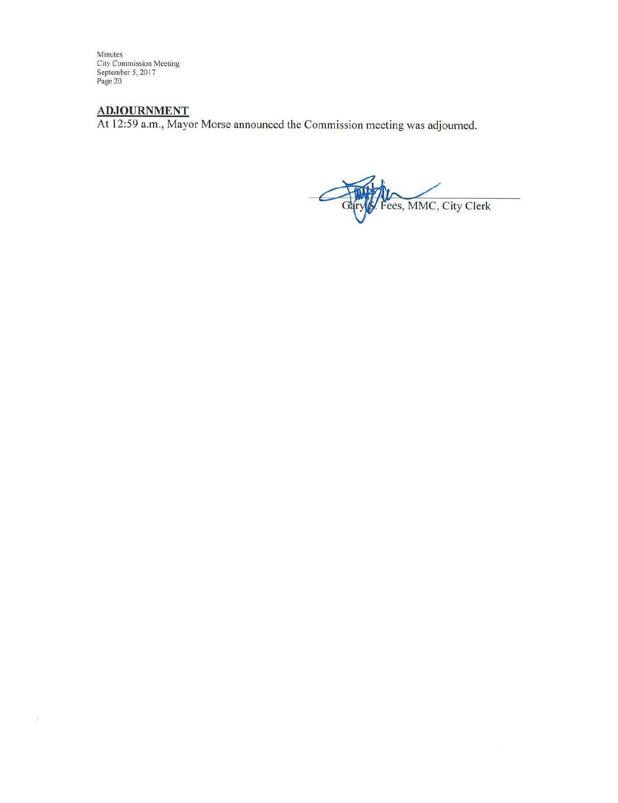Minutes<br>City Commission Meeting<br>September 5, 2017<br>Page 20

ADJOURNMENT<br>At 12:59 a.m., Mayor Morse announced the Commission meeting was adjourned.

Fees, MMC, City Clerk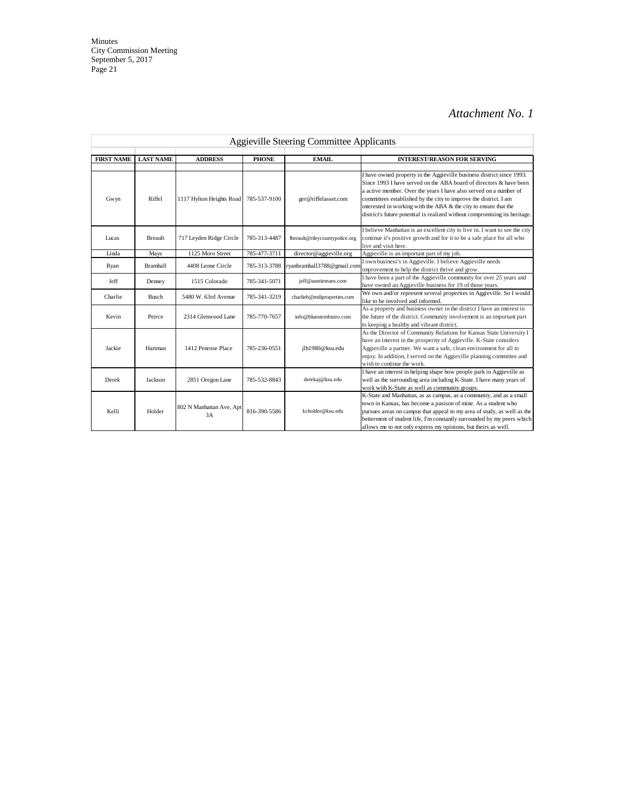| <b>Aggieville Steering Committee Applicants</b> |                  |                                |              |                                |                                                                                                                                                                                                                                                                                                                                                                                                                                        |
|-------------------------------------------------|------------------|--------------------------------|--------------|--------------------------------|----------------------------------------------------------------------------------------------------------------------------------------------------------------------------------------------------------------------------------------------------------------------------------------------------------------------------------------------------------------------------------------------------------------------------------------|
| <b>FIRST NAME</b>                               | <b>LAST NAME</b> | <b>ADDRESS</b>                 | <b>PHONE</b> | EMAIL                          | <b>INTEREST/REASON FOR SERVING</b>                                                                                                                                                                                                                                                                                                                                                                                                     |
| Gwyn                                            | Riffel           | 1117 Hylton Heights Road       | 785-537-9100 | ger@riffelasset.com            | I have owned property in the Aggieville business district since 1993.<br>Since 1993 I have served on the ABA board of directors & have been<br>a active member. Over the years I have also served on a number of<br>committees established by the city to improve the district. I am<br>interested in working with the ABA & the city to ensure that the<br>district's future potential is realized without compromising its heritage. |
| Lucas                                           | <b>Breault</b>   | 717 Leyden Ridge Circle        | 785-313-4487 | lbreault@rileycountypolice.org | I believe Manhattan is an excellent city to live in. I want to see the city<br>continue it's positive growth and for it to be a safe place for all who<br>live and visit here.                                                                                                                                                                                                                                                         |
| Linda                                           | Mays             | 1125 Moro Street               | 785-477-3711 | director@aggieville.org        | Aggieville is an important part of my job.                                                                                                                                                                                                                                                                                                                                                                                             |
| Ryan                                            | <b>Bramhall</b>  | 4408 Leone Circle              | 785-313-3788 | ryanbramhall3788@gmail.com     | I own business's in Aggieville. I believe Aggieville needs<br>improvement to help the district thrive and grow.                                                                                                                                                                                                                                                                                                                        |
| Jeff                                            | Denney           | 1515 Colorado                  | 785-341-5071 | jeff@auntiemaes.com            | I have been a part of the Aggieville community for over 25 years and<br>have owned an Aggieville business for 19 of those years.                                                                                                                                                                                                                                                                                                       |
| Charlie                                         | <b>Busch</b>     | 5480 W. 63rd Avenue            | 785-341-3219 | charlieb@mdiproperties.com     | We own and/or represent several properties in Aggieville. So I would<br>like to be involved and informed.                                                                                                                                                                                                                                                                                                                              |
| Kevin                                           | Peirce           | 2314 Glenwood Lane             | 785-770-7657 | info@bluestembistro.com        | As a property and business owner in the district I have an interest in<br>the future of the district. Community involvement is an important part<br>to keeping a healthy and vibrant district.                                                                                                                                                                                                                                         |
| Jackie                                          | Hartman          | 1412 Penrose Place             | 785-236-0551 | jlh1980@ksu.edu                | As the Director of Community Relations for Kansas State University I<br>have an interest in the prosperity of Aggieville. K-State considers<br>Aggieville a partner. We want a safe, clean environment for all to<br>enjoy. In addition, I served on the Aggieville planning committee and<br>wish to continue the work.                                                                                                               |
| Derek                                           | Jackson          | 2851 Oregon Lane               | 785-532-8843 | derekaj@ksu.edu                | I have an interest in helping shape how people park in Aggieville as<br>well as the surrounding area including K-State. I have many years of<br>work with K-State as well as community groups.                                                                                                                                                                                                                                         |
| Kelli                                           | Holder           | 802 N Manhattan Ave, Apt<br>3A | 816-390-5586 | kcholder@ksu.edu               | K-State and Manhattan, as as campus, as a community, and as a small<br>town in Kansas, has become a pasison of mine. As a student who<br>pursues areas on campus that appeal to my area of study, as well as the<br>betterment of student life, I'm constantly surrounded by my peers which<br>allows me to not only express my opinions, but theirs as well.                                                                          |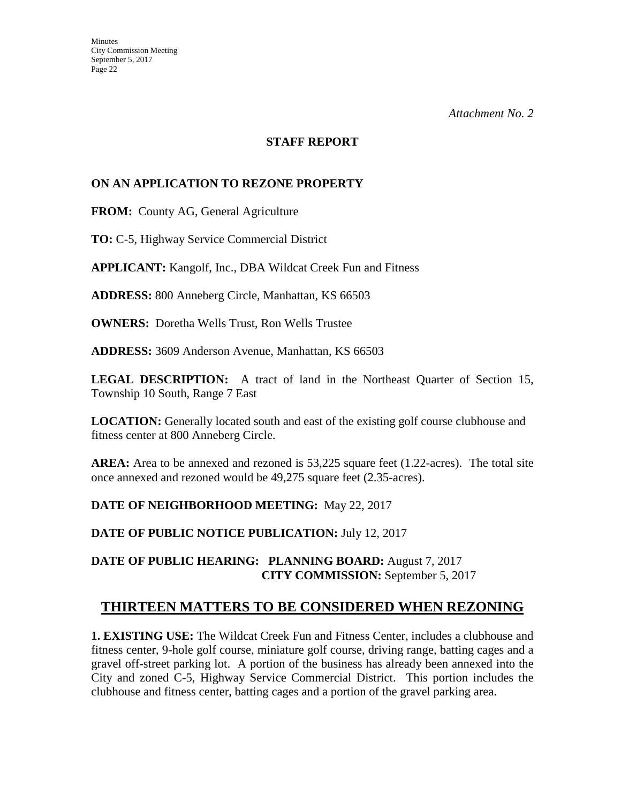#### **STAFF REPORT**

#### **ON AN APPLICATION TO REZONE PROPERTY**

**FROM:** County AG, General Agriculture

**TO:** C-5, Highway Service Commercial District

**APPLICANT:** Kangolf, Inc., DBA Wildcat Creek Fun and Fitness

**ADDRESS:** 800 Anneberg Circle, Manhattan, KS 66503

**OWNERS:** Doretha Wells Trust, Ron Wells Trustee

**ADDRESS:** 3609 Anderson Avenue, Manhattan, KS 66503

**LEGAL DESCRIPTION:** A tract of land in the Northeast Quarter of Section 15, Township 10 South, Range 7 East

**LOCATION:** Generally located south and east of the existing golf course clubhouse and fitness center at 800 Anneberg Circle.

**AREA:** Area to be annexed and rezoned is 53,225 square feet (1.22-acres). The total site once annexed and rezoned would be 49,275 square feet (2.35-acres).

**DATE OF NEIGHBORHOOD MEETING:** May 22, 2017

**DATE OF PUBLIC NOTICE PUBLICATION:** July 12, 2017

**DATE OF PUBLIC HEARING: PLANNING BOARD:** August 7, 2017 **CITY COMMISSION:** September 5, 2017

# **THIRTEEN MATTERS TO BE CONSIDERED WHEN REZONING**

**1. EXISTING USE:** The Wildcat Creek Fun and Fitness Center, includes a clubhouse and fitness center, 9-hole golf course, miniature golf course, driving range, batting cages and a gravel off-street parking lot. A portion of the business has already been annexed into the City and zoned C-5, Highway Service Commercial District. This portion includes the clubhouse and fitness center, batting cages and a portion of the gravel parking area.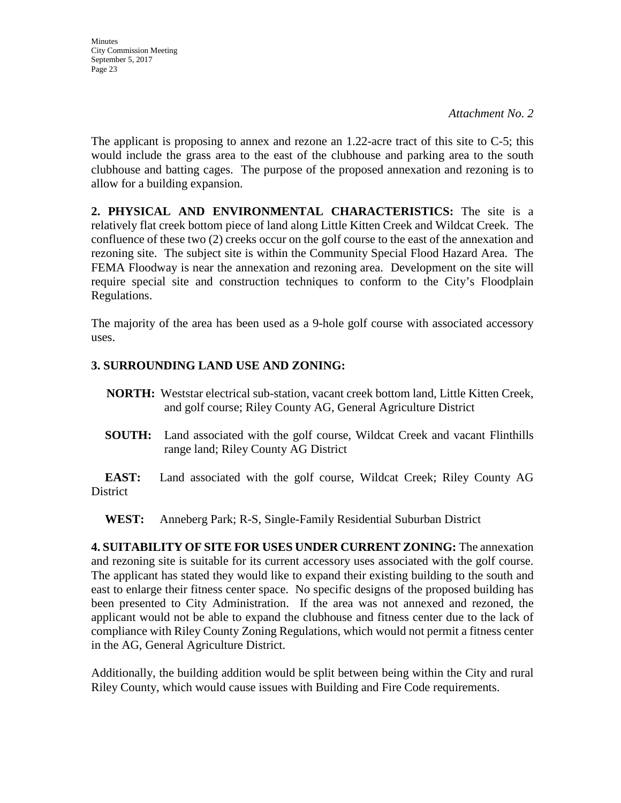*Attachment No. 2*

The applicant is proposing to annex and rezone an 1.22-acre tract of this site to C-5; this would include the grass area to the east of the clubhouse and parking area to the south clubhouse and batting cages. The purpose of the proposed annexation and rezoning is to allow for a building expansion.

**2. PHYSICAL AND ENVIRONMENTAL CHARACTERISTICS:** The site is a relatively flat creek bottom piece of land along Little Kitten Creek and Wildcat Creek. The confluence of these two (2) creeks occur on the golf course to the east of the annexation and rezoning site. The subject site is within the Community Special Flood Hazard Area. The FEMA Floodway is near the annexation and rezoning area. Development on the site will require special site and construction techniques to conform to the City's Floodplain Regulations.

The majority of the area has been used as a 9-hole golf course with associated accessory uses.

## **3. SURROUNDING LAND USE AND ZONING:**

- **NORTH:** Weststar electrical sub-station, vacant creek bottom land, Little Kitten Creek, and golf course; Riley County AG, General Agriculture District
- **SOUTH:** Land associated with the golf course, Wildcat Creek and vacant Flinthills range land; Riley County AG District

**EAST:** Land associated with the golf course, Wildcat Creek; Riley County AG **District** 

**WEST:** Anneberg Park; R-S, Single-Family Residential Suburban District

**4. SUITABILITY OF SITE FOR USES UNDER CURRENT ZONING:** The annexation and rezoning site is suitable for its current accessory uses associated with the golf course. The applicant has stated they would like to expand their existing building to the south and east to enlarge their fitness center space. No specific designs of the proposed building has been presented to City Administration. If the area was not annexed and rezoned, the applicant would not be able to expand the clubhouse and fitness center due to the lack of compliance with Riley County Zoning Regulations, which would not permit a fitness center in the AG, General Agriculture District.

Additionally, the building addition would be split between being within the City and rural Riley County, which would cause issues with Building and Fire Code requirements.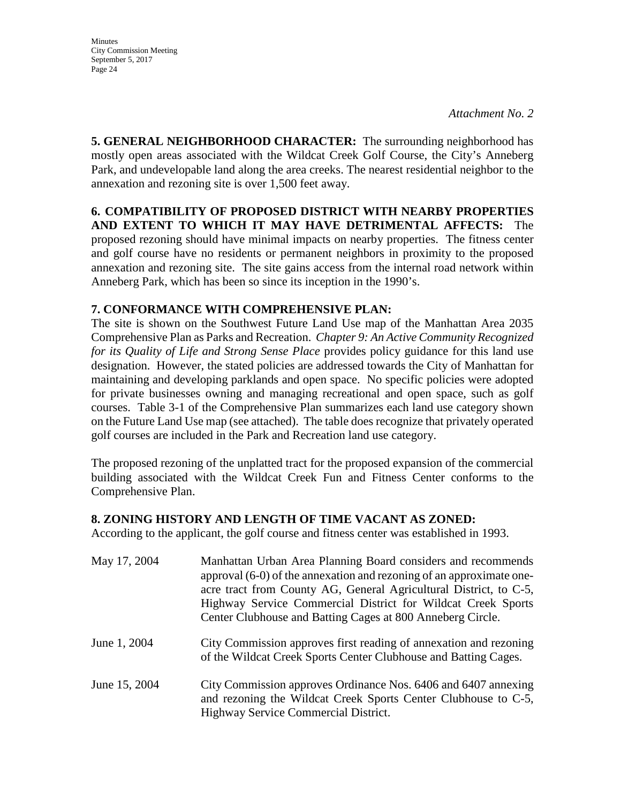**5. GENERAL NEIGHBORHOOD CHARACTER:** The surrounding neighborhood has mostly open areas associated with the Wildcat Creek Golf Course, the City's Anneberg Park, and undevelopable land along the area creeks. The nearest residential neighbor to the annexation and rezoning site is over 1,500 feet away.

**6. COMPATIBILITY OF PROPOSED DISTRICT WITH NEARBY PROPERTIES AND EXTENT TO WHICH IT MAY HAVE DETRIMENTAL AFFECTS:** The proposed rezoning should have minimal impacts on nearby properties. The fitness center and golf course have no residents or permanent neighbors in proximity to the proposed annexation and rezoning site. The site gains access from the internal road network within Anneberg Park, which has been so since its inception in the 1990's.

### **7. CONFORMANCE WITH COMPREHENSIVE PLAN:**

The site is shown on the Southwest Future Land Use map of the Manhattan Area 2035 Comprehensive Plan as Parks and Recreation. *Chapter 9: An Active Community Recognized for its Quality of Life and Strong Sense Place* provides policy guidance for this land use designation. However, the stated policies are addressed towards the City of Manhattan for maintaining and developing parklands and open space. No specific policies were adopted for private businesses owning and managing recreational and open space, such as golf courses. Table 3-1 of the Comprehensive Plan summarizes each land use category shown on the Future Land Use map (see attached). The table does recognize that privately operated golf courses are included in the Park and Recreation land use category.

The proposed rezoning of the unplatted tract for the proposed expansion of the commercial building associated with the Wildcat Creek Fun and Fitness Center conforms to the Comprehensive Plan.

### **8. ZONING HISTORY AND LENGTH OF TIME VACANT AS ZONED:**

According to the applicant, the golf course and fitness center was established in 1993.

| May 17, 2004  | Manhattan Urban Area Planning Board considers and recommends<br>approval (6-0) of the annexation and rezoning of an approximate one-<br>acre tract from County AG, General Agricultural District, to C-5,<br>Highway Service Commercial District for Wildcat Creek Sports<br>Center Clubhouse and Batting Cages at 800 Anneberg Circle. |
|---------------|-----------------------------------------------------------------------------------------------------------------------------------------------------------------------------------------------------------------------------------------------------------------------------------------------------------------------------------------|
| June 1, 2004  | City Commission approves first reading of annexation and rezoning<br>of the Wildcat Creek Sports Center Clubhouse and Batting Cages.                                                                                                                                                                                                    |
| June 15, 2004 | City Commission approves Ordinance Nos. 6406 and 6407 annexing<br>and rezoning the Wildcat Creek Sports Center Clubhouse to C-5,<br>Highway Service Commercial District.                                                                                                                                                                |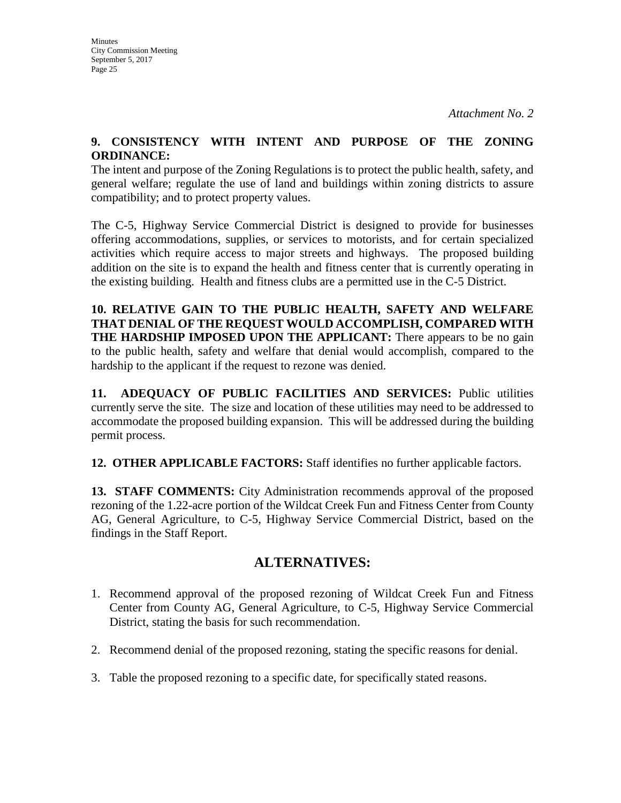#### **9. CONSISTENCY WITH INTENT AND PURPOSE OF THE ZONING ORDINANCE:**

The intent and purpose of the Zoning Regulations is to protect the public health, safety, and general welfare; regulate the use of land and buildings within zoning districts to assure compatibility; and to protect property values.

The C-5, Highway Service Commercial District is designed to provide for businesses offering accommodations, supplies, or services to motorists, and for certain specialized activities which require access to major streets and highways. The proposed building addition on the site is to expand the health and fitness center that is currently operating in the existing building. Health and fitness clubs are a permitted use in the C-5 District.

**10. RELATIVE GAIN TO THE PUBLIC HEALTH, SAFETY AND WELFARE THAT DENIAL OF THE REQUEST WOULD ACCOMPLISH, COMPARED WITH THE HARDSHIP IMPOSED UPON THE APPLICANT:** There appears to be no gain to the public health, safety and welfare that denial would accomplish, compared to the hardship to the applicant if the request to rezone was denied.

**11. ADEQUACY OF PUBLIC FACILITIES AND SERVICES:** Public utilities currently serve the site. The size and location of these utilities may need to be addressed to accommodate the proposed building expansion. This will be addressed during the building permit process.

**12. OTHER APPLICABLE FACTORS:** Staff identifies no further applicable factors.

**13. STAFF COMMENTS:** City Administration recommends approval of the proposed rezoning of the 1.22-acre portion of the Wildcat Creek Fun and Fitness Center from County AG, General Agriculture, to C-5, Highway Service Commercial District, based on the findings in the Staff Report.

# **ALTERNATIVES:**

- 1. Recommend approval of the proposed rezoning of Wildcat Creek Fun and Fitness Center from County AG, General Agriculture, to C-5, Highway Service Commercial District, stating the basis for such recommendation.
- 2. Recommend denial of the proposed rezoning, stating the specific reasons for denial.
- 3. Table the proposed rezoning to a specific date, for specifically stated reasons.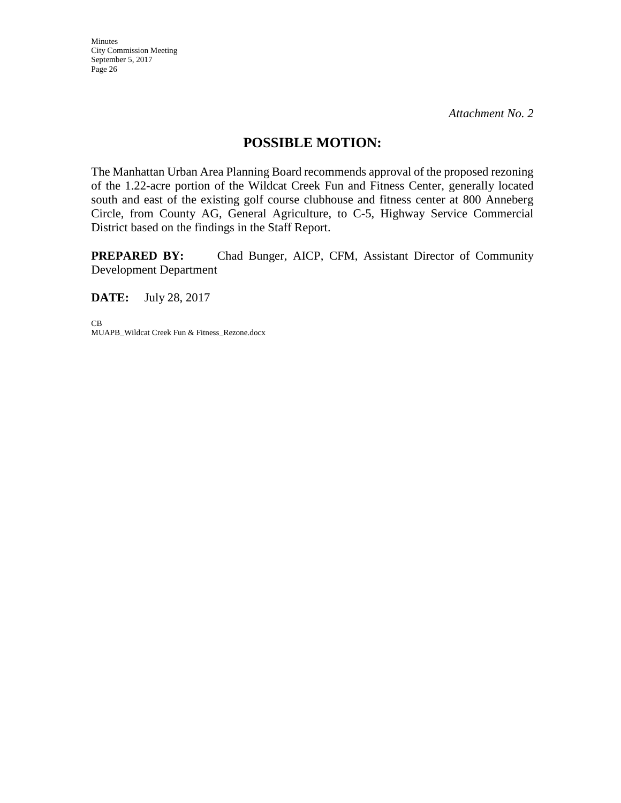## **POSSIBLE MOTION:**

The Manhattan Urban Area Planning Board recommends approval of the proposed rezoning of the 1.22-acre portion of the Wildcat Creek Fun and Fitness Center, generally located south and east of the existing golf course clubhouse and fitness center at 800 Anneberg Circle, from County AG, General Agriculture, to C-5, Highway Service Commercial District based on the findings in the Staff Report.

**PREPARED BY:** Chad Bunger, AICP, CFM, Assistant Director of Community Development Department

**DATE:** July 28, 2017

CB MUAPB\_Wildcat Creek Fun & Fitness\_Rezone.docx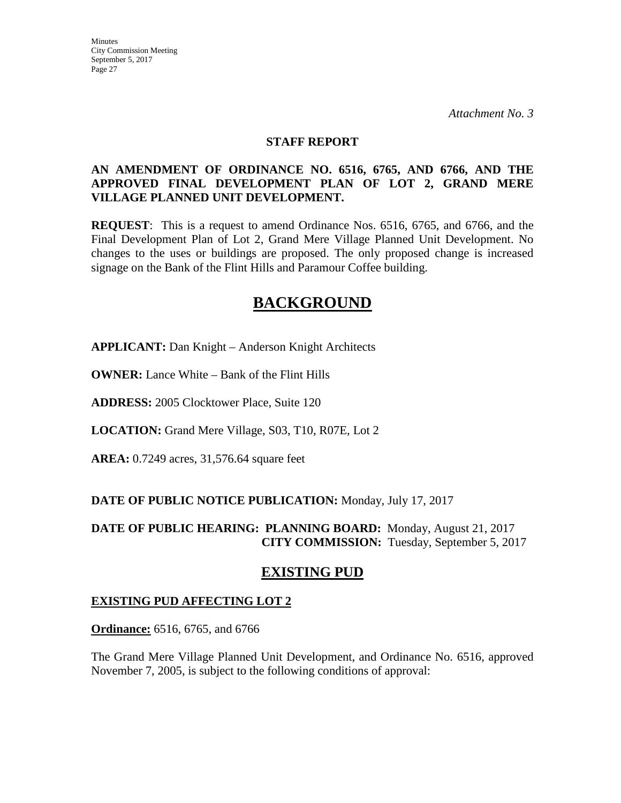#### **STAFF REPORT**

#### **AN AMENDMENT OF ORDINANCE NO. 6516, 6765, AND 6766, AND THE APPROVED FINAL DEVELOPMENT PLAN OF LOT 2, GRAND MERE VILLAGE PLANNED UNIT DEVELOPMENT.**

**REQUEST**: This is a request to amend Ordinance Nos. 6516, 6765, and 6766, and the Final Development Plan of Lot 2, Grand Mere Village Planned Unit Development. No changes to the uses or buildings are proposed. The only proposed change is increased signage on the Bank of the Flint Hills and Paramour Coffee building.

# **BACKGROUND**

**APPLICANT:** Dan Knight – Anderson Knight Architects

**OWNER:** Lance White – Bank of the Flint Hills

**ADDRESS:** 2005 Clocktower Place, Suite 120

**LOCATION:** Grand Mere Village, S03, T10, R07E, Lot 2

**AREA:** 0.7249 acres, 31,576.64 square feet

#### **DATE OF PUBLIC NOTICE PUBLICATION:** Monday, July 17, 2017

### **DATE OF PUBLIC HEARING: PLANNING BOARD:** Monday, August 21, 2017 **CITY COMMISSION:** Tuesday, September 5, 2017

# **EXISTING PUD**

### **EXISTING PUD AFFECTING LOT 2**

**Ordinance:** 6516, 6765, and 6766

The Grand Mere Village Planned Unit Development, and Ordinance No. 6516, approved November 7, 2005, is subject to the following conditions of approval: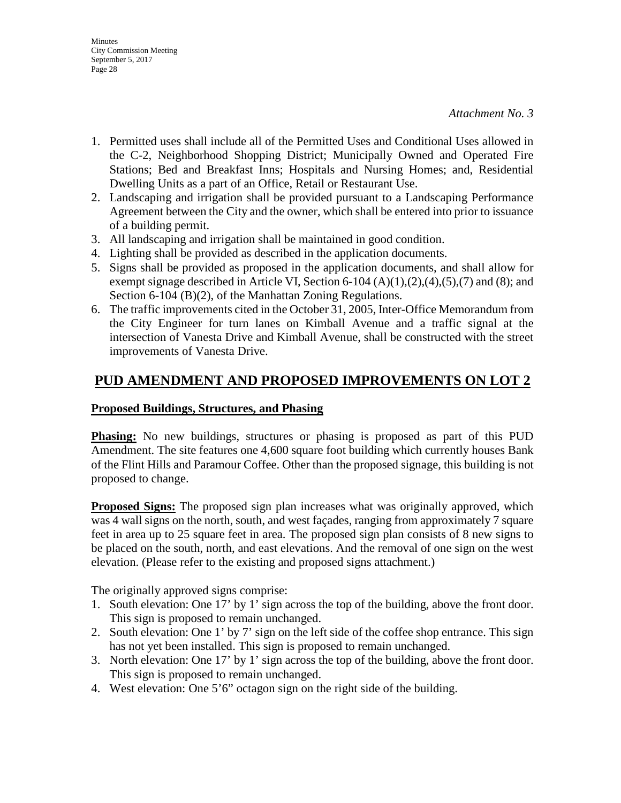- 1. Permitted uses shall include all of the Permitted Uses and Conditional Uses allowed in the C-2, Neighborhood Shopping District; Municipally Owned and Operated Fire Stations; Bed and Breakfast Inns; Hospitals and Nursing Homes; and, Residential Dwelling Units as a part of an Office, Retail or Restaurant Use.
- 2. Landscaping and irrigation shall be provided pursuant to a Landscaping Performance Agreement between the City and the owner, which shall be entered into prior to issuance of a building permit.
- 3. All landscaping and irrigation shall be maintained in good condition.
- 4. Lighting shall be provided as described in the application documents.
- 5. Signs shall be provided as proposed in the application documents, and shall allow for exempt signage described in Article VI, Section 6-104  $(A)(1),(2),(4),(5),(7)$  and  $(8)$ ; and Section 6-104 (B)(2), of the Manhattan Zoning Regulations.
- 6. The traffic improvements cited in the October 31, 2005, Inter-Office Memorandum from the City Engineer for turn lanes on Kimball Avenue and a traffic signal at the intersection of Vanesta Drive and Kimball Avenue, shall be constructed with the street improvements of Vanesta Drive.

# **PUD AMENDMENT AND PROPOSED IMPROVEMENTS ON LOT 2**

### **Proposed Buildings, Structures, and Phasing**

**Phasing:** No new buildings, structures or phasing is proposed as part of this PUD Amendment. The site features one 4,600 square foot building which currently houses Bank of the Flint Hills and Paramour Coffee. Other than the proposed signage, this building is not proposed to change.

**Proposed Signs:** The proposed sign plan increases what was originally approved, which was 4 wall signs on the north, south, and west façades, ranging from approximately 7 square feet in area up to 25 square feet in area. The proposed sign plan consists of 8 new signs to be placed on the south, north, and east elevations. And the removal of one sign on the west elevation. (Please refer to the existing and proposed signs attachment.)

The originally approved signs comprise:

- 1. South elevation: One 17' by 1' sign across the top of the building, above the front door. This sign is proposed to remain unchanged.
- 2. South elevation: One 1' by 7' sign on the left side of the coffee shop entrance. This sign has not yet been installed. This sign is proposed to remain unchanged.
- 3. North elevation: One 17' by 1' sign across the top of the building, above the front door. This sign is proposed to remain unchanged.
- 4. West elevation: One 5'6" octagon sign on the right side of the building.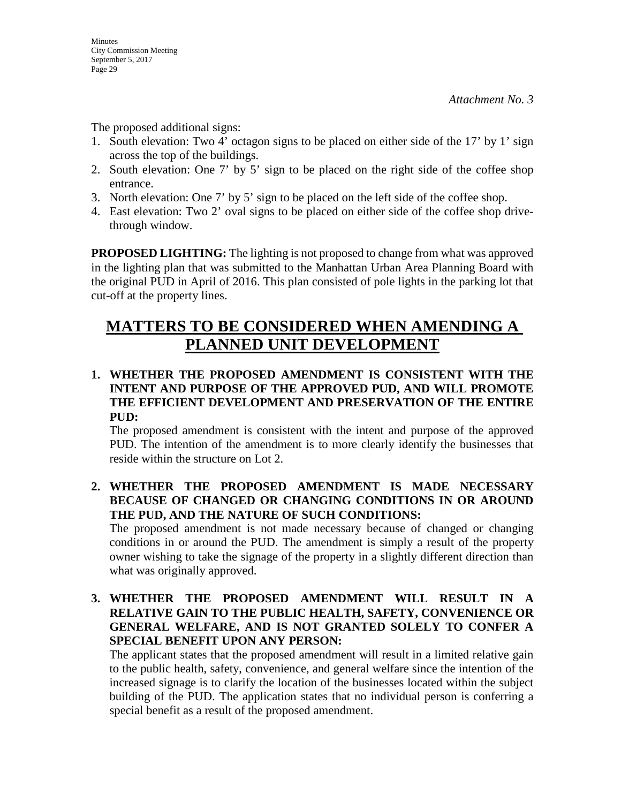The proposed additional signs:

- 1. South elevation: Two 4' octagon signs to be placed on either side of the 17' by 1' sign across the top of the buildings.
- 2. South elevation: One 7' by 5' sign to be placed on the right side of the coffee shop entrance.
- 3. North elevation: One 7' by 5' sign to be placed on the left side of the coffee shop.
- 4. East elevation: Two 2' oval signs to be placed on either side of the coffee shop drivethrough window.

**PROPOSED LIGHTING:** The lighting is not proposed to change from what was approved in the lighting plan that was submitted to the Manhattan Urban Area Planning Board with the original PUD in April of 2016. This plan consisted of pole lights in the parking lot that cut-off at the property lines.

# **MATTERS TO BE CONSIDERED WHEN AMENDING A PLANNED UNIT DEVELOPMENT**

## **1. WHETHER THE PROPOSED AMENDMENT IS CONSISTENT WITH THE INTENT AND PURPOSE OF THE APPROVED PUD, AND WILL PROMOTE THE EFFICIENT DEVELOPMENT AND PRESERVATION OF THE ENTIRE PUD:**

The proposed amendment is consistent with the intent and purpose of the approved PUD. The intention of the amendment is to more clearly identify the businesses that reside within the structure on Lot 2.

**2. WHETHER THE PROPOSED AMENDMENT IS MADE NECESSARY BECAUSE OF CHANGED OR CHANGING CONDITIONS IN OR AROUND THE PUD, AND THE NATURE OF SUCH CONDITIONS:** 

The proposed amendment is not made necessary because of changed or changing conditions in or around the PUD. The amendment is simply a result of the property owner wishing to take the signage of the property in a slightly different direction than what was originally approved.

**3. WHETHER THE PROPOSED AMENDMENT WILL RESULT IN A RELATIVE GAIN TO THE PUBLIC HEALTH, SAFETY, CONVENIENCE OR GENERAL WELFARE, AND IS NOT GRANTED SOLELY TO CONFER A SPECIAL BENEFIT UPON ANY PERSON:** 

The applicant states that the proposed amendment will result in a limited relative gain to the public health, safety, convenience, and general welfare since the intention of the increased signage is to clarify the location of the businesses located within the subject building of the PUD. The application states that no individual person is conferring a special benefit as a result of the proposed amendment.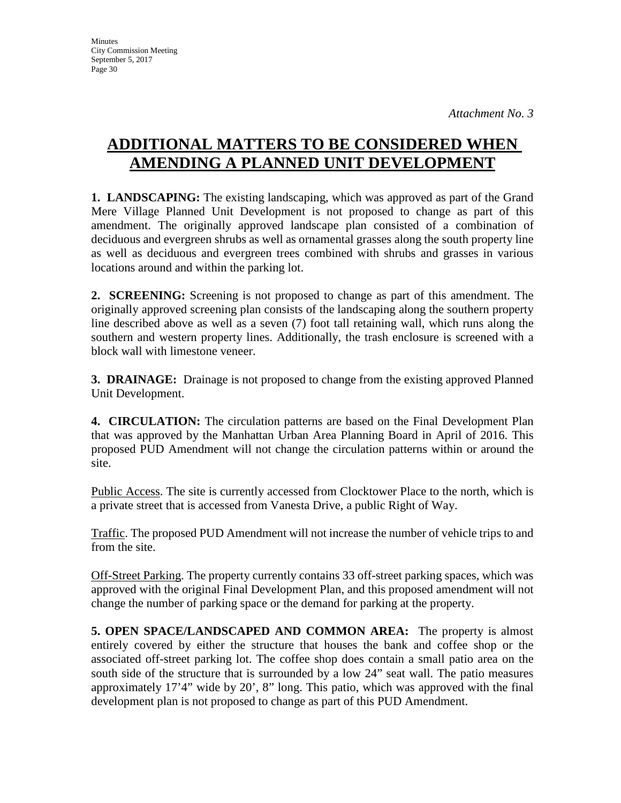# **ADDITIONAL MATTERS TO BE CONSIDERED WHEN AMENDING A PLANNED UNIT DEVELOPMENT**

**1. LANDSCAPING:** The existing landscaping, which was approved as part of the Grand Mere Village Planned Unit Development is not proposed to change as part of this amendment. The originally approved landscape plan consisted of a combination of deciduous and evergreen shrubs as well as ornamental grasses along the south property line as well as deciduous and evergreen trees combined with shrubs and grasses in various locations around and within the parking lot.

**2. SCREENING:** Screening is not proposed to change as part of this amendment. The originally approved screening plan consists of the landscaping along the southern property line described above as well as a seven (7) foot tall retaining wall, which runs along the southern and western property lines. Additionally, the trash enclosure is screened with a block wall with limestone veneer.

**3. DRAINAGE:** Drainage is not proposed to change from the existing approved Planned Unit Development.

**4. CIRCULATION:** The circulation patterns are based on the Final Development Plan that was approved by the Manhattan Urban Area Planning Board in April of 2016. This proposed PUD Amendment will not change the circulation patterns within or around the site.

Public Access. The site is currently accessed from Clocktower Place to the north, which is a private street that is accessed from Vanesta Drive, a public Right of Way.

Traffic. The proposed PUD Amendment will not increase the number of vehicle trips to and from the site.

Off-Street Parking. The property currently contains 33 off-street parking spaces, which was approved with the original Final Development Plan, and this proposed amendment will not change the number of parking space or the demand for parking at the property.

**5. OPEN SPACE/LANDSCAPED AND COMMON AREA:** The property is almost entirely covered by either the structure that houses the bank and coffee shop or the associated off-street parking lot. The coffee shop does contain a small patio area on the south side of the structure that is surrounded by a low 24" seat wall. The patio measures approximately 17'4" wide by 20', 8" long. This patio, which was approved with the final development plan is not proposed to change as part of this PUD Amendment.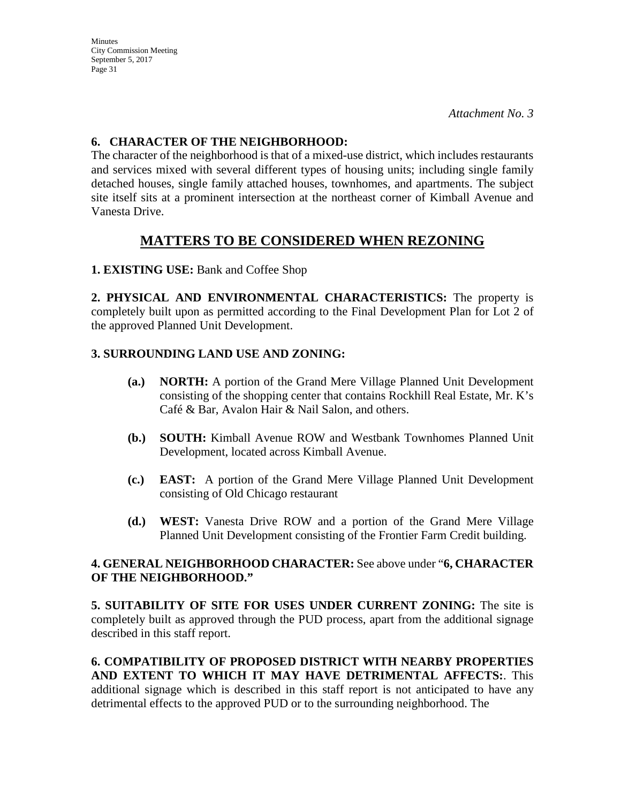**Minutes** City Commission Meeting September 5, 2017 Page 31

### **6. CHARACTER OF THE NEIGHBORHOOD:**

The character of the neighborhood is that of a mixed-use district, which includes restaurants and services mixed with several different types of housing units; including single family detached houses, single family attached houses, townhomes, and apartments. The subject site itself sits at a prominent intersection at the northeast corner of Kimball Avenue and Vanesta Drive.

# **MATTERS TO BE CONSIDERED WHEN REZONING**

**1. EXISTING USE:** Bank and Coffee Shop

**2. PHYSICAL AND ENVIRONMENTAL CHARACTERISTICS:** The property is completely built upon as permitted according to the Final Development Plan for Lot 2 of the approved Planned Unit Development.

## **3. SURROUNDING LAND USE AND ZONING:**

- **(a.) NORTH:** A portion of the Grand Mere Village Planned Unit Development consisting of the shopping center that contains Rockhill Real Estate, Mr. K's Café & Bar, Avalon Hair & Nail Salon, and others.
- **(b.) SOUTH:** Kimball Avenue ROW and Westbank Townhomes Planned Unit Development, located across Kimball Avenue.
- **(c.) EAST:** A portion of the Grand Mere Village Planned Unit Development consisting of Old Chicago restaurant
- **(d.) WEST:** Vanesta Drive ROW and a portion of the Grand Mere Village Planned Unit Development consisting of the Frontier Farm Credit building.

### **4. GENERAL NEIGHBORHOOD CHARACTER:** See above under "**6, CHARACTER OF THE NEIGHBORHOOD."**

**5. SUITABILITY OF SITE FOR USES UNDER CURRENT ZONING:** The site is completely built as approved through the PUD process, apart from the additional signage described in this staff report.

**6. COMPATIBILITY OF PROPOSED DISTRICT WITH NEARBY PROPERTIES AND EXTENT TO WHICH IT MAY HAVE DETRIMENTAL AFFECTS:**. This additional signage which is described in this staff report is not anticipated to have any detrimental effects to the approved PUD or to the surrounding neighborhood. The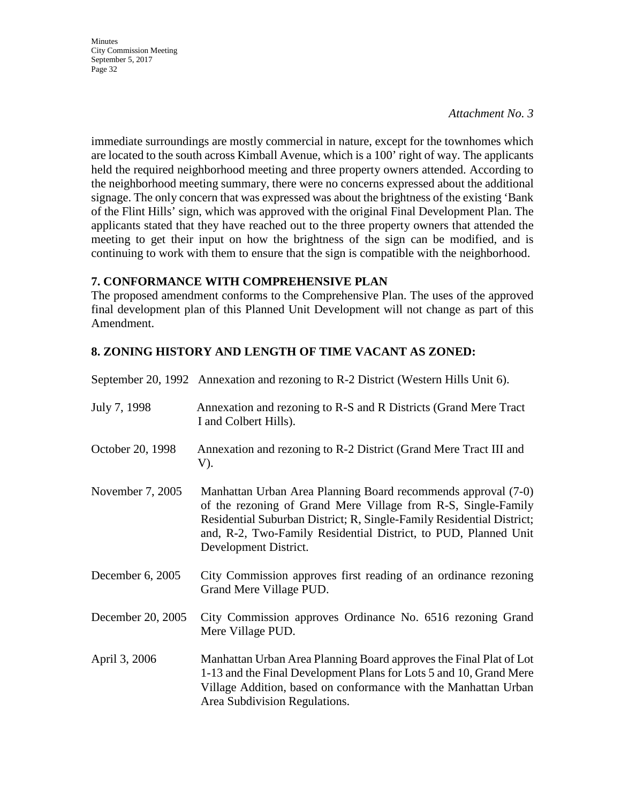#### *Attachment No. 3*

immediate surroundings are mostly commercial in nature, except for the townhomes which are located to the south across Kimball Avenue, which is a 100' right of way. The applicants held the required neighborhood meeting and three property owners attended. According to the neighborhood meeting summary, there were no concerns expressed about the additional signage. The only concern that was expressed was about the brightness of the existing 'Bank of the Flint Hills' sign, which was approved with the original Final Development Plan. The applicants stated that they have reached out to the three property owners that attended the meeting to get their input on how the brightness of the sign can be modified, and is continuing to work with them to ensure that the sign is compatible with the neighborhood.

#### **7. CONFORMANCE WITH COMPREHENSIVE PLAN**

The proposed amendment conforms to the Comprehensive Plan. The uses of the approved final development plan of this Planned Unit Development will not change as part of this Amendment.

## **8. ZONING HISTORY AND LENGTH OF TIME VACANT AS ZONED:**

|                   | September 20, 1992 Annexation and rezoning to R-2 District (Western Hills Unit 6).                                                                                                                                                                                                                  |
|-------------------|-----------------------------------------------------------------------------------------------------------------------------------------------------------------------------------------------------------------------------------------------------------------------------------------------------|
| July 7, 1998      | Annexation and rezoning to R-S and R Districts (Grand Mere Tract)<br>I and Colbert Hills).                                                                                                                                                                                                          |
| October 20, 1998  | Annexation and rezoning to R-2 District (Grand Mere Tract III and<br>V).                                                                                                                                                                                                                            |
| November 7, 2005  | Manhattan Urban Area Planning Board recommends approval (7-0)<br>of the rezoning of Grand Mere Village from R-S, Single-Family<br>Residential Suburban District; R, Single-Family Residential District;<br>and, R-2, Two-Family Residential District, to PUD, Planned Unit<br>Development District. |
| December 6, 2005  | City Commission approves first reading of an ordinance rezoning<br>Grand Mere Village PUD.                                                                                                                                                                                                          |
| December 20, 2005 | City Commission approves Ordinance No. 6516 rezoning Grand<br>Mere Village PUD.                                                                                                                                                                                                                     |
| April 3, 2006     | Manhattan Urban Area Planning Board approves the Final Plat of Lot<br>1-13 and the Final Development Plans for Lots 5 and 10, Grand Mere<br>Village Addition, based on conformance with the Manhattan Urban<br>Area Subdivision Regulations.                                                        |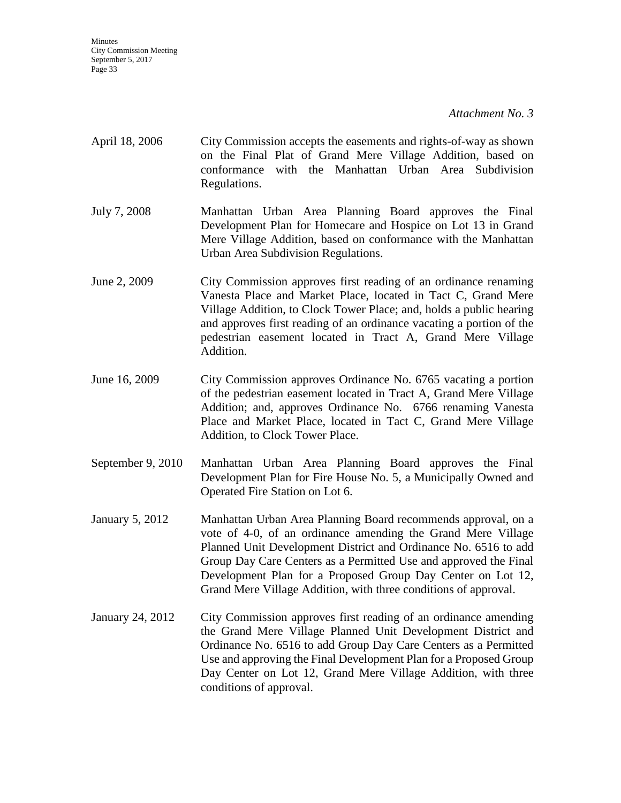*Attachment No. 3*

- April 18, 2006 City Commission accepts the easements and rights-of-way as shown on the Final Plat of Grand Mere Village Addition, based on conformance with the Manhattan Urban Area Subdivision Regulations.
- July 7, 2008 Manhattan Urban Area Planning Board approves the Final Development Plan for Homecare and Hospice on Lot 13 in Grand Mere Village Addition, based on conformance with the Manhattan Urban Area Subdivision Regulations.
- June 2, 2009 City Commission approves first reading of an ordinance renaming Vanesta Place and Market Place, located in Tact C, Grand Mere Village Addition, to Clock Tower Place; and, holds a public hearing and approves first reading of an ordinance vacating a portion of the pedestrian easement located in Tract A, Grand Mere Village Addition.
- June 16, 2009 City Commission approves Ordinance No. 6765 vacating a portion of the pedestrian easement located in Tract A, Grand Mere Village Addition; and, approves Ordinance No. 6766 renaming Vanesta Place and Market Place, located in Tact C, Grand Mere Village Addition, to Clock Tower Place.
- September 9, 2010 Manhattan Urban Area Planning Board approves the Final Development Plan for Fire House No. 5, a Municipally Owned and Operated Fire Station on Lot 6.
- January 5, 2012 Manhattan Urban Area Planning Board recommends approval, on a vote of 4-0, of an ordinance amending the Grand Mere Village Planned Unit Development District and Ordinance No. 6516 to add Group Day Care Centers as a Permitted Use and approved the Final Development Plan for a Proposed Group Day Center on Lot 12, Grand Mere Village Addition, with three conditions of approval.
- January 24, 2012 City Commission approves first reading of an ordinance amending the Grand Mere Village Planned Unit Development District and Ordinance No. 6516 to add Group Day Care Centers as a Permitted Use and approving the Final Development Plan for a Proposed Group Day Center on Lot 12, Grand Mere Village Addition, with three conditions of approval.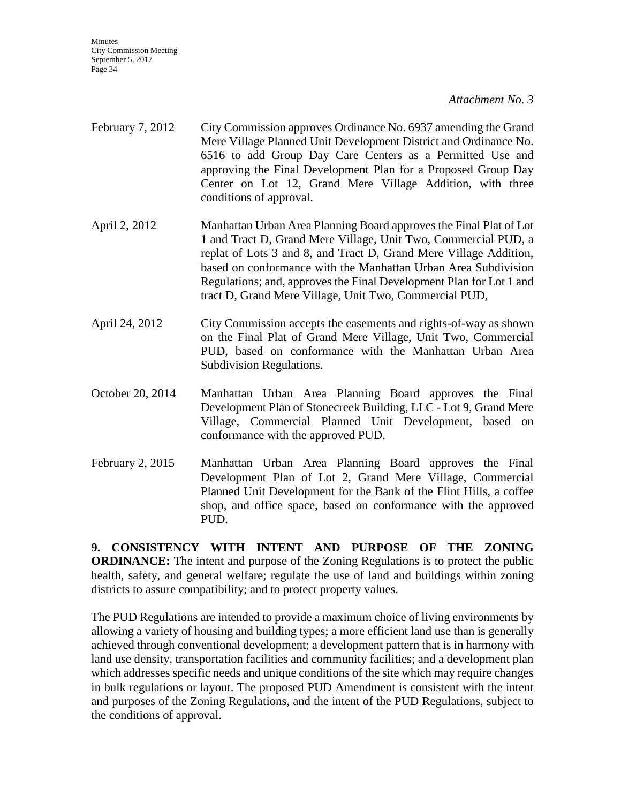*Attachment No. 3*

- February 7, 2012 City Commission approves Ordinance No. 6937 amending the Grand Mere Village Planned Unit Development District and Ordinance No. 6516 to add Group Day Care Centers as a Permitted Use and approving the Final Development Plan for a Proposed Group Day Center on Lot 12, Grand Mere Village Addition, with three conditions of approval.
- April 2, 2012 Manhattan Urban Area Planning Board approves the Final Plat of Lot 1 and Tract D, Grand Mere Village, Unit Two, Commercial PUD, a replat of Lots 3 and 8, and Tract D, Grand Mere Village Addition, based on conformance with the Manhattan Urban Area Subdivision Regulations; and, approves the Final Development Plan for Lot 1 and tract D, Grand Mere Village, Unit Two, Commercial PUD,
- April 24, 2012 City Commission accepts the easements and rights-of-way as shown on the Final Plat of Grand Mere Village, Unit Two, Commercial PUD, based on conformance with the Manhattan Urban Area Subdivision Regulations.
- October 20, 2014 Manhattan Urban Area Planning Board approves the Final Development Plan of Stonecreek Building, LLC - Lot 9, Grand Mere Village, Commercial Planned Unit Development, based on conformance with the approved PUD.
- February 2, 2015 Manhattan Urban Area Planning Board approves the Final Development Plan of Lot 2, Grand Mere Village, Commercial Planned Unit Development for the Bank of the Flint Hills, a coffee shop, and office space, based on conformance with the approved PUD.

**9. CONSISTENCY WITH INTENT AND PURPOSE OF THE ZONING ORDINANCE:** The intent and purpose of the Zoning Regulations is to protect the public health, safety, and general welfare; regulate the use of land and buildings within zoning districts to assure compatibility; and to protect property values.

The PUD Regulations are intended to provide a maximum choice of living environments by allowing a variety of housing and building types; a more efficient land use than is generally achieved through conventional development; a development pattern that is in harmony with land use density, transportation facilities and community facilities; and a development plan which addresses specific needs and unique conditions of the site which may require changes in bulk regulations or layout. The proposed PUD Amendment is consistent with the intent and purposes of the Zoning Regulations, and the intent of the PUD Regulations, subject to the conditions of approval.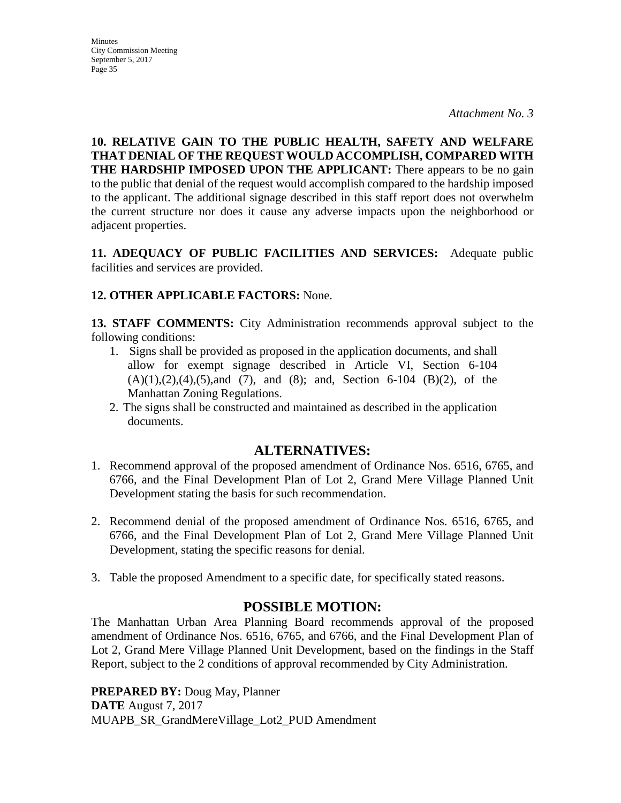**Minutes** City Commission Meeting September 5, 2017 Page 35

**10. RELATIVE GAIN TO THE PUBLIC HEALTH, SAFETY AND WELFARE THAT DENIAL OF THE REQUEST WOULD ACCOMPLISH, COMPARED WITH THE HARDSHIP IMPOSED UPON THE APPLICANT:** There appears to be no gain to the public that denial of the request would accomplish compared to the hardship imposed to the applicant. The additional signage described in this staff report does not overwhelm the current structure nor does it cause any adverse impacts upon the neighborhood or adjacent properties.

**11. ADEQUACY OF PUBLIC FACILITIES AND SERVICES:** Adequate public facilities and services are provided.

## **12. OTHER APPLICABLE FACTORS:** None.

**13. STAFF COMMENTS:** City Administration recommends approval subject to the following conditions:

- 1. Signs shall be provided as proposed in the application documents, and shall allow for exempt signage described in Article VI, Section 6-104  $(A)(1), (2), (4), (5), and (7), and (8); and Section 6-104 (B)(2), of the$ Manhattan Zoning Regulations.
- 2. The signs shall be constructed and maintained as described in the application documents.

## **ALTERNATIVES:**

- 1. Recommend approval of the proposed amendment of Ordinance Nos. 6516, 6765, and 6766, and the Final Development Plan of Lot 2, Grand Mere Village Planned Unit Development stating the basis for such recommendation.
- 2. Recommend denial of the proposed amendment of Ordinance Nos. 6516, 6765, and 6766, and the Final Development Plan of Lot 2, Grand Mere Village Planned Unit Development, stating the specific reasons for denial.
- 3. Table the proposed Amendment to a specific date, for specifically stated reasons.

# **POSSIBLE MOTION:**

The Manhattan Urban Area Planning Board recommends approval of the proposed amendment of Ordinance Nos. 6516, 6765, and 6766, and the Final Development Plan of Lot 2, Grand Mere Village Planned Unit Development, based on the findings in the Staff Report, subject to the 2 conditions of approval recommended by City Administration.

**PREPARED BY:** Doug May, Planner **DATE** August 7, 2017 MUAPB\_SR\_GrandMereVillage\_Lot2\_PUD Amendment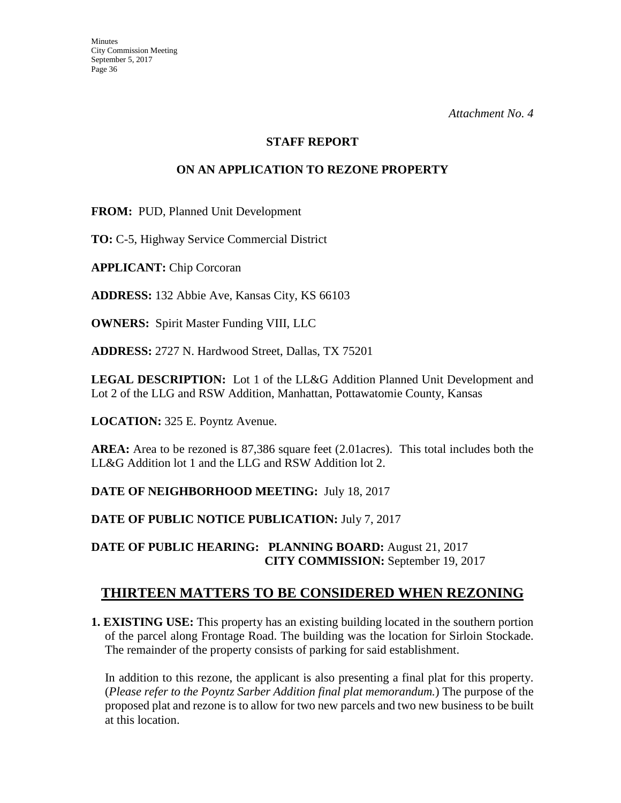#### **STAFF REPORT**

## **ON AN APPLICATION TO REZONE PROPERTY**

**FROM:** PUD, Planned Unit Development

**TO:** C-5, Highway Service Commercial District

**APPLICANT:** Chip Corcoran

**ADDRESS:** 132 Abbie Ave, Kansas City, KS 66103

**OWNERS:** Spirit Master Funding VIII, LLC

**ADDRESS:** 2727 N. Hardwood Street, Dallas, TX 75201

**LEGAL DESCRIPTION:** Lot 1 of the LL&G Addition Planned Unit Development and Lot 2 of the LLG and RSW Addition, Manhattan, Pottawatomie County, Kansas

**LOCATION:** 325 E. Poyntz Avenue.

**AREA:** Area to be rezoned is 87,386 square feet (2.01acres). This total includes both the LL&G Addition lot 1 and the LLG and RSW Addition lot 2.

**DATE OF NEIGHBORHOOD MEETING:** July 18, 2017

**DATE OF PUBLIC NOTICE PUBLICATION:** July 7, 2017

**DATE OF PUBLIC HEARING: PLANNING BOARD:** August 21, 2017 **CITY COMMISSION:** September 19, 2017

# **THIRTEEN MATTERS TO BE CONSIDERED WHEN REZONING**

**1. EXISTING USE:** This property has an existing building located in the southern portion of the parcel along Frontage Road. The building was the location for Sirloin Stockade. The remainder of the property consists of parking for said establishment.

In addition to this rezone, the applicant is also presenting a final plat for this property. (*Please refer to the Poyntz Sarber Addition final plat memorandum.*) The purpose of the proposed plat and rezone is to allow for two new parcels and two new business to be built at this location.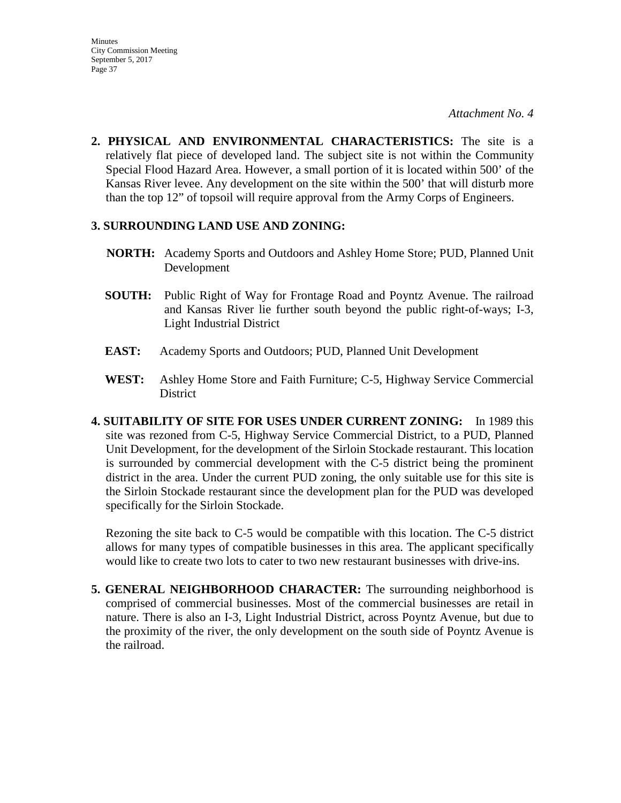**2. PHYSICAL AND ENVIRONMENTAL CHARACTERISTICS:** The site is a relatively flat piece of developed land. The subject site is not within the Community Special Flood Hazard Area. However, a small portion of it is located within 500' of the Kansas River levee. Any development on the site within the 500' that will disturb more than the top 12" of topsoil will require approval from the Army Corps of Engineers.

### **3. SURROUNDING LAND USE AND ZONING:**

- **NORTH:** Academy Sports and Outdoors and Ashley Home Store; PUD, Planned Unit Development
- **SOUTH:** Public Right of Way for Frontage Road and Poyntz Avenue. The railroad and Kansas River lie further south beyond the public right-of-ways; I-3, Light Industrial District
- **EAST:** Academy Sports and Outdoors; PUD, Planned Unit Development
- **WEST:** Ashley Home Store and Faith Furniture; C-5, Highway Service Commercial District
- **4. SUITABILITY OF SITE FOR USES UNDER CURRENT ZONING:** In 1989 this site was rezoned from C-5, Highway Service Commercial District, to a PUD, Planned Unit Development, for the development of the Sirloin Stockade restaurant. This location is surrounded by commercial development with the C-5 district being the prominent district in the area. Under the current PUD zoning, the only suitable use for this site is the Sirloin Stockade restaurant since the development plan for the PUD was developed specifically for the Sirloin Stockade.

Rezoning the site back to C-5 would be compatible with this location. The C-5 district allows for many types of compatible businesses in this area. The applicant specifically would like to create two lots to cater to two new restaurant businesses with drive-ins.

**5. GENERAL NEIGHBORHOOD CHARACTER:** The surrounding neighborhood is comprised of commercial businesses. Most of the commercial businesses are retail in nature. There is also an I-3, Light Industrial District, across Poyntz Avenue, but due to the proximity of the river, the only development on the south side of Poyntz Avenue is the railroad.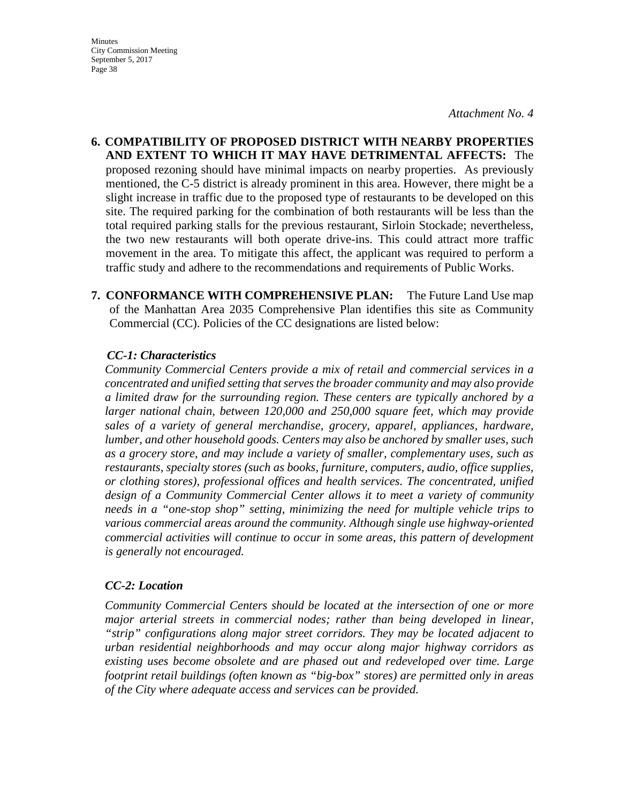*Attachment No. 4*

- **6. COMPATIBILITY OF PROPOSED DISTRICT WITH NEARBY PROPERTIES AND EXTENT TO WHICH IT MAY HAVE DETRIMENTAL AFFECTS:** The proposed rezoning should have minimal impacts on nearby properties. As previously mentioned, the C-5 district is already prominent in this area. However, there might be a slight increase in traffic due to the proposed type of restaurants to be developed on this site. The required parking for the combination of both restaurants will be less than the total required parking stalls for the previous restaurant, Sirloin Stockade; nevertheless, the two new restaurants will both operate drive-ins. This could attract more traffic movement in the area. To mitigate this affect, the applicant was required to perform a traffic study and adhere to the recommendations and requirements of Public Works.
- **7. CONFORMANCE WITH COMPREHENSIVE PLAN:** The Future Land Use map of the Manhattan Area 2035 Comprehensive Plan identifies this site as Community Commercial (CC). Policies of the CC designations are listed below:

#### *CC-1: Characteristics*

*Community Commercial Centers provide a mix of retail and commercial services in a concentrated and unified setting that serves the broader community and may also provide a limited draw for the surrounding region. These centers are typically anchored by a larger national chain, between 120,000 and 250,000 square feet, which may provide sales of a variety of general merchandise, grocery, apparel, appliances, hardware, lumber, and other household goods. Centers may also be anchored by smaller uses, such as a grocery store, and may include a variety of smaller, complementary uses, such as restaurants, specialty stores (such as books, furniture, computers, audio, office supplies, or clothing stores), professional offices and health services. The concentrated, unified design of a Community Commercial Center allows it to meet a variety of community needs in a "one-stop shop" setting, minimizing the need for multiple vehicle trips to various commercial areas around the community. Although single use highway-oriented commercial activities will continue to occur in some areas, this pattern of development is generally not encouraged.* 

### *CC-2: Location*

*Community Commercial Centers should be located at the intersection of one or more major arterial streets in commercial nodes; rather than being developed in linear, "strip" configurations along major street corridors. They may be located adjacent to urban residential neighborhoods and may occur along major highway corridors as existing uses become obsolete and are phased out and redeveloped over time. Large footprint retail buildings (often known as "big-box" stores) are permitted only in areas of the City where adequate access and services can be provided.*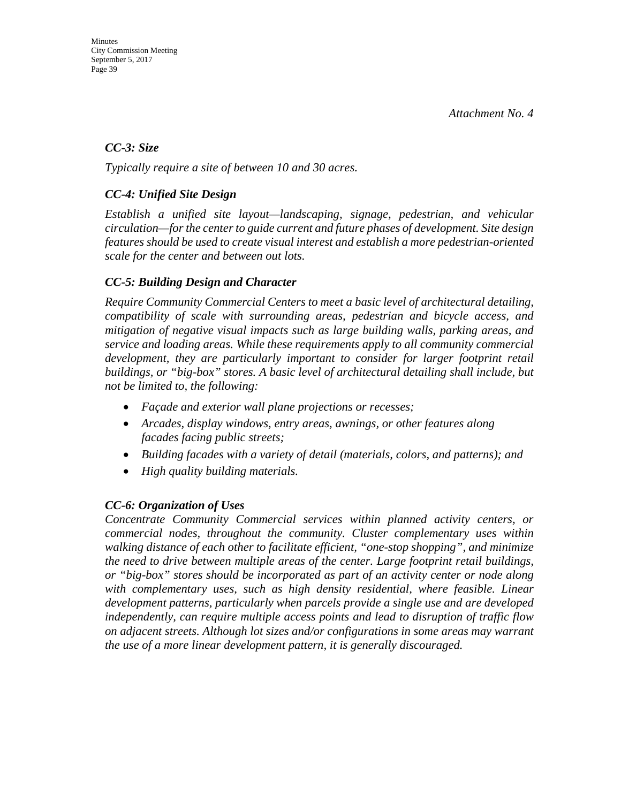### *CC-3: Size*

*Typically require a site of between 10 and 30 acres.* 

## *CC-4: Unified Site Design*

*Establish a unified site layout—landscaping, signage, pedestrian, and vehicular circulation—for the center to guide current and future phases of development. Site design features should be used to create visual interest and establish a more pedestrian-oriented scale for the center and between out lots.* 

## *CC-5: Building Design and Character*

*Require Community Commercial Centers to meet a basic level of architectural detailing, compatibility of scale with surrounding areas, pedestrian and bicycle access, and mitigation of negative visual impacts such as large building walls, parking areas, and service and loading areas. While these requirements apply to all community commercial development, they are particularly important to consider for larger footprint retail buildings, or "big-box" stores. A basic level of architectural detailing shall include, but not be limited to, the following:* 

- *Façade and exterior wall plane projections or recesses;*
- *Arcades, display windows, entry areas, awnings, or other features along facades facing public streets;*
- *Building facades with a variety of detail (materials, colors, and patterns); and*
- *High quality building materials.*

### *CC-6: Organization of Uses*

*Concentrate Community Commercial services within planned activity centers, or commercial nodes, throughout the community. Cluster complementary uses within walking distance of each other to facilitate efficient, "one-stop shopping", and minimize the need to drive between multiple areas of the center. Large footprint retail buildings, or "big-box" stores should be incorporated as part of an activity center or node along with complementary uses, such as high density residential, where feasible. Linear development patterns, particularly when parcels provide a single use and are developed independently, can require multiple access points and lead to disruption of traffic flow on adjacent streets. Although lot sizes and/or configurations in some areas may warrant the use of a more linear development pattern, it is generally discouraged.*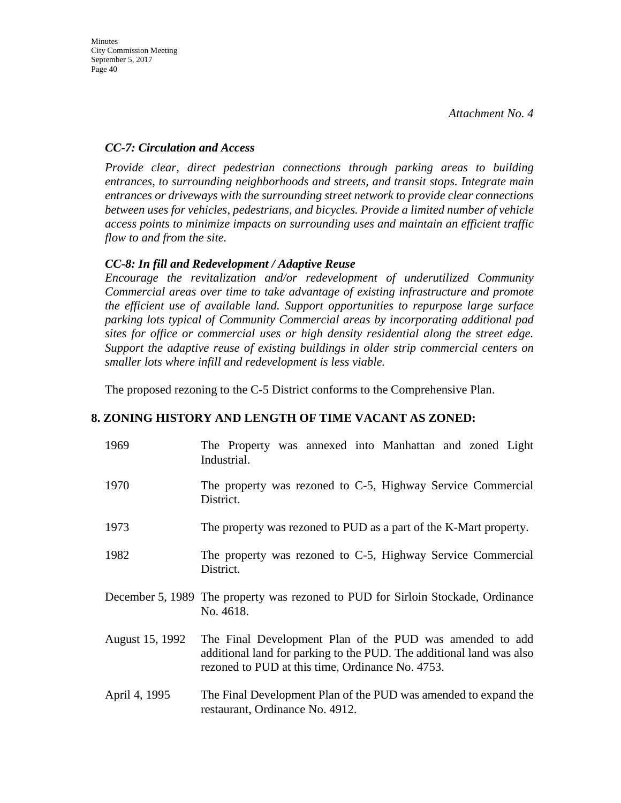### *CC-7: Circulation and Access*

*Provide clear, direct pedestrian connections through parking areas to building entrances, to surrounding neighborhoods and streets, and transit stops. Integrate main entrances or driveways with the surrounding street network to provide clear connections between uses for vehicles, pedestrians, and bicycles. Provide a limited number of vehicle access points to minimize impacts on surrounding uses and maintain an efficient traffic flow to and from the site.* 

## *CC-8: In fill and Redevelopment / Adaptive Reuse*

*Encourage the revitalization and/or redevelopment of underutilized Community Commercial areas over time to take advantage of existing infrastructure and promote the efficient use of available land. Support opportunities to repurpose large surface parking lots typical of Community Commercial areas by incorporating additional pad sites for office or commercial uses or high density residential along the street edge. Support the adaptive reuse of existing buildings in older strip commercial centers on smaller lots where infill and redevelopment is less viable.*

The proposed rezoning to the C-5 District conforms to the Comprehensive Plan.

### **8. ZONING HISTORY AND LENGTH OF TIME VACANT AS ZONED:**

| 1969            | The Property was annexed into Manhattan and zoned Light<br>Industrial.                                                                                                               |
|-----------------|--------------------------------------------------------------------------------------------------------------------------------------------------------------------------------------|
| 1970            | The property was rezoned to C-5, Highway Service Commercial<br>District.                                                                                                             |
| 1973            | The property was rezoned to PUD as a part of the K-Mart property.                                                                                                                    |
| 1982            | The property was rezoned to C-5, Highway Service Commercial<br>District.                                                                                                             |
|                 | December 5, 1989 The property was rezoned to PUD for Sirloin Stockade, Ordinance<br>No. 4618.                                                                                        |
| August 15, 1992 | The Final Development Plan of the PUD was amended to add<br>additional land for parking to the PUD. The additional land was also<br>rezoned to PUD at this time, Ordinance No. 4753. |
| April 4, 1995   | The Final Development Plan of the PUD was amended to expand the<br>restaurant, Ordinance No. 4912.                                                                                   |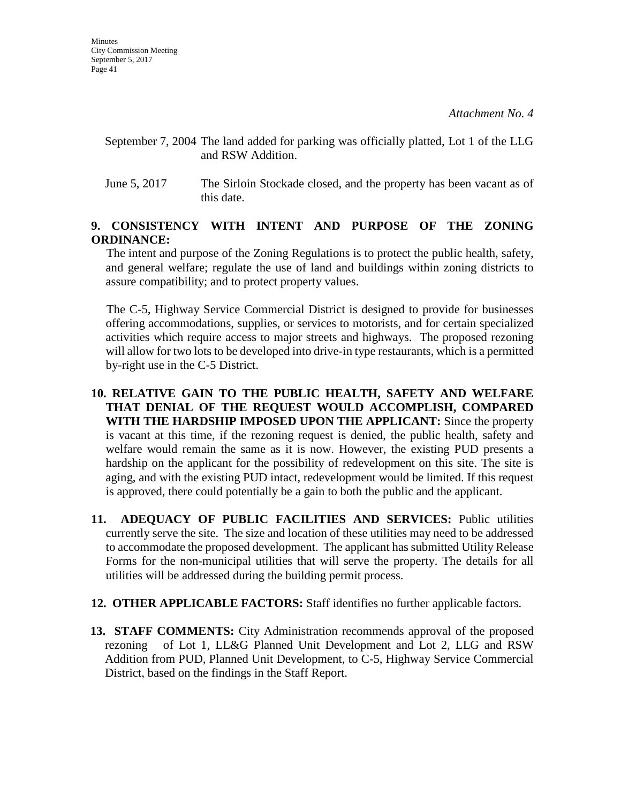- September 7, 2004 The land added for parking was officially platted, Lot 1 of the LLG and RSW Addition.
- June 5, 2017 The Sirloin Stockade closed, and the property has been vacant as of this date.

## **9. CONSISTENCY WITH INTENT AND PURPOSE OF THE ZONING ORDINANCE:**

 The intent and purpose of the Zoning Regulations is to protect the public health, safety, and general welfare; regulate the use of land and buildings within zoning districts to assure compatibility; and to protect property values.

 The C-5, Highway Service Commercial District is designed to provide for businesses offering accommodations, supplies, or services to motorists, and for certain specialized activities which require access to major streets and highways. The proposed rezoning will allow for two lots to be developed into drive-in type restaurants, which is a permitted by-right use in the C-5 District.

- **10. RELATIVE GAIN TO THE PUBLIC HEALTH, SAFETY AND WELFARE THAT DENIAL OF THE REQUEST WOULD ACCOMPLISH, COMPARED WITH THE HARDSHIP IMPOSED UPON THE APPLICANT:** Since the property is vacant at this time, if the rezoning request is denied, the public health, safety and welfare would remain the same as it is now. However, the existing PUD presents a hardship on the applicant for the possibility of redevelopment on this site. The site is aging, and with the existing PUD intact, redevelopment would be limited. If this request is approved, there could potentially be a gain to both the public and the applicant.
- **11. ADEQUACY OF PUBLIC FACILITIES AND SERVICES:** Public utilities currently serve the site. The size and location of these utilities may need to be addressed to accommodate the proposed development. The applicant has submitted Utility Release Forms for the non-municipal utilities that will serve the property. The details for all utilities will be addressed during the building permit process.
- **12. OTHER APPLICABLE FACTORS:** Staff identifies no further applicable factors.
- **13. STAFF COMMENTS:** City Administration recommends approval of the proposed rezoning of Lot 1, LL&G Planned Unit Development and Lot 2, LLG and RSW Addition from PUD, Planned Unit Development, to C-5, Highway Service Commercial District, based on the findings in the Staff Report.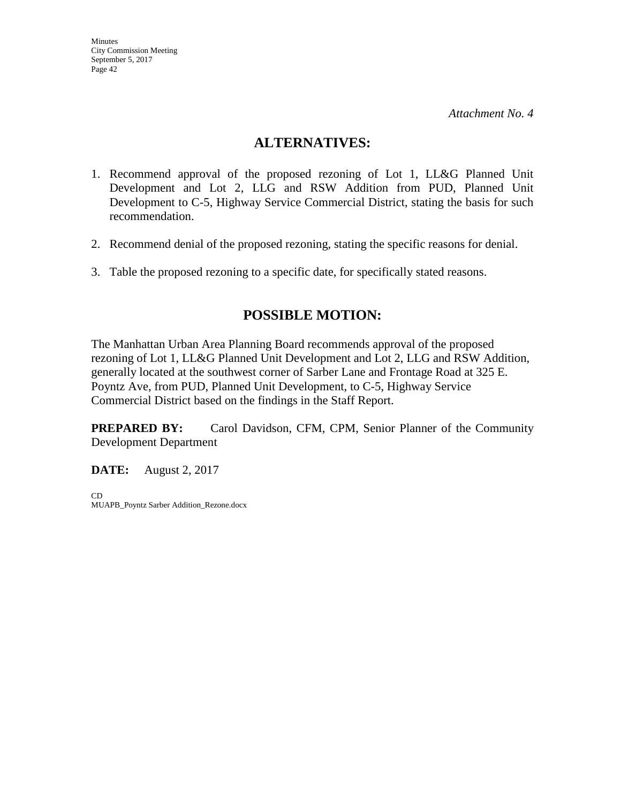## **ALTERNATIVES:**

- 1. Recommend approval of the proposed rezoning of Lot 1, LL&G Planned Unit Development and Lot 2, LLG and RSW Addition from PUD, Planned Unit Development to C-5, Highway Service Commercial District, stating the basis for such recommendation.
- 2. Recommend denial of the proposed rezoning, stating the specific reasons for denial.
- 3. Table the proposed rezoning to a specific date, for specifically stated reasons.

# **POSSIBLE MOTION:**

The Manhattan Urban Area Planning Board recommends approval of the proposed rezoning of Lot 1, LL&G Planned Unit Development and Lot 2, LLG and RSW Addition, generally located at the southwest corner of Sarber Lane and Frontage Road at 325 E. Poyntz Ave, from PUD, Planned Unit Development, to C-5, Highway Service Commercial District based on the findings in the Staff Report.

**PREPARED BY:** Carol Davidson, CFM, CPM, Senior Planner of the Community Development Department

**DATE:** August 2, 2017

CD MUAPB\_Poyntz Sarber Addition\_Rezone.docx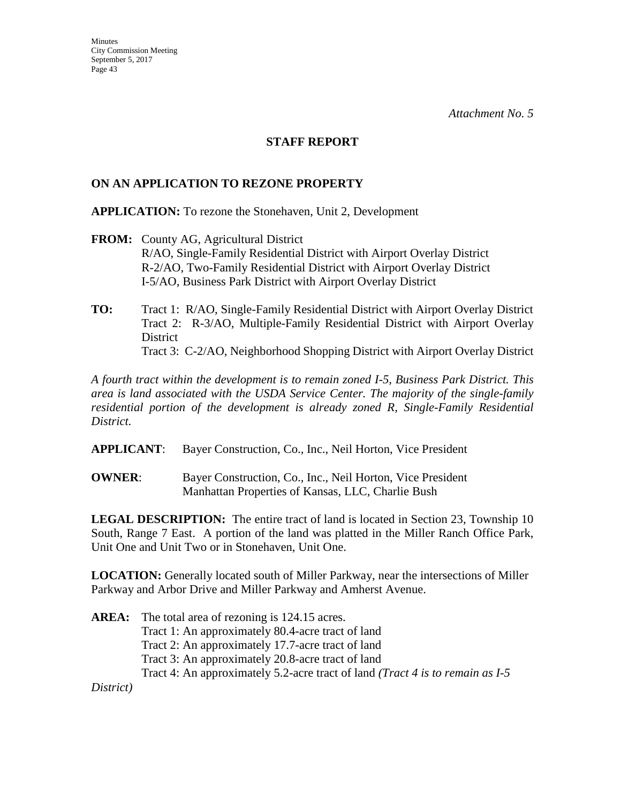#### **STAFF REPORT**

#### **ON AN APPLICATION TO REZONE PROPERTY**

**APPLICATION:** To rezone the Stonehaven, Unit 2, Development

- **FROM:** County AG, Agricultural District R/AO, Single-Family Residential District with Airport Overlay District R-2/AO, Two-Family Residential District with Airport Overlay District I-5/AO, Business Park District with Airport Overlay District
- **TO:** Tract 1:R/AO, Single-Family Residential District with Airport Overlay District Tract 2: R-3/AO, Multiple-Family Residential District with Airport Overlay **District** Tract 3: C-2/AO, Neighborhood Shopping District with Airport Overlay District

*A fourth tract within the development is to remain zoned I-5, Business Park District. This area is land associated with the USDA Service Center. The majority of the single-family residential portion of the development is already zoned R, Single-Family Residential District.*

**APPLICANT**: Bayer Construction, Co., Inc., Neil Horton, Vice President

**OWNER:** Bayer Construction, Co., Inc., Neil Horton, Vice President Manhattan Properties of Kansas, LLC, Charlie Bush

**LEGAL DESCRIPTION:** The entire tract of land is located in Section 23, Township 10 South, Range 7 East. A portion of the land was platted in the Miller Ranch Office Park, Unit One and Unit Two or in Stonehaven, Unit One.

**LOCATION:** Generally located south of Miller Parkway, near the intersections of Miller Parkway and Arbor Drive and Miller Parkway and Amherst Avenue.

**AREA:** The total area of rezoning is 124.15 acres. Tract 1: An approximately 80.4-acre tract of land Tract 2: An approximately 17.7-acre tract of land Tract 3: An approximately 20.8-acre tract of land Tract 4: An approximately 5.2-acre tract of land *(Tract 4 is to remain as I-5* 

*District)*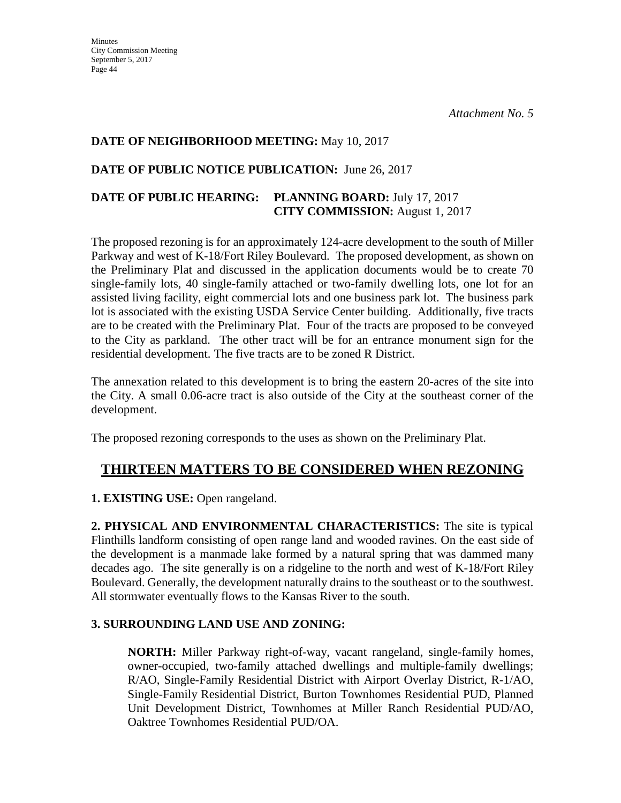#### **DATE OF NEIGHBORHOOD MEETING:** May 10, 2017

## **DATE OF PUBLIC NOTICE PUBLICATION:** June 26, 2017

## **DATE OF PUBLIC HEARING: PLANNING BOARD:** July 17, 2017 **CITY COMMISSION:** August 1, 2017

The proposed rezoning is for an approximately 124-acre development to the south of Miller Parkway and west of K-18/Fort Riley Boulevard. The proposed development, as shown on the Preliminary Plat and discussed in the application documents would be to create 70 single-family lots, 40 single-family attached or two-family dwelling lots, one lot for an assisted living facility, eight commercial lots and one business park lot. The business park lot is associated with the existing USDA Service Center building. Additionally, five tracts are to be created with the Preliminary Plat. Four of the tracts are proposed to be conveyed to the City as parkland. The other tract will be for an entrance monument sign for the residential development. The five tracts are to be zoned R District.

The annexation related to this development is to bring the eastern 20-acres of the site into the City. A small 0.06-acre tract is also outside of the City at the southeast corner of the development.

The proposed rezoning corresponds to the uses as shown on the Preliminary Plat.

# **THIRTEEN MATTERS TO BE CONSIDERED WHEN REZONING**

**1. EXISTING USE:** Open rangeland.

**2. PHYSICAL AND ENVIRONMENTAL CHARACTERISTICS:** The site is typical Flinthills landform consisting of open range land and wooded ravines. On the east side of the development is a manmade lake formed by a natural spring that was dammed many decades ago. The site generally is on a ridgeline to the north and west of K-18/Fort Riley Boulevard. Generally, the development naturally drains to the southeast or to the southwest. All stormwater eventually flows to the Kansas River to the south.

### **3. SURROUNDING LAND USE AND ZONING:**

**NORTH:** Miller Parkway right-of-way, vacant rangeland, single-family homes, owner-occupied, two-family attached dwellings and multiple-family dwellings; R/AO, Single-Family Residential District with Airport Overlay District, R-1/AO, Single-Family Residential District, Burton Townhomes Residential PUD, Planned Unit Development District, Townhomes at Miller Ranch Residential PUD/AO, Oaktree Townhomes Residential PUD/OA.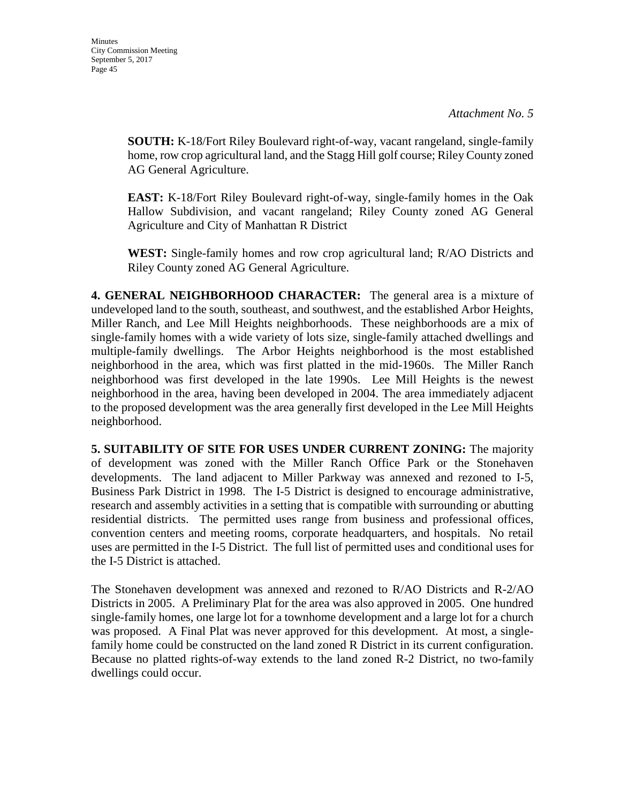**SOUTH:** K-18/Fort Riley Boulevard right-of-way, vacant rangeland, single-family home, row crop agricultural land, and the Stagg Hill golf course; Riley County zoned AG General Agriculture.

**EAST:** K-18/Fort Riley Boulevard right-of-way, single-family homes in the Oak Hallow Subdivision, and vacant rangeland; Riley County zoned AG General Agriculture and City of Manhattan R District

**WEST:** Single-family homes and row crop agricultural land; R/AO Districts and Riley County zoned AG General Agriculture.

**4. GENERAL NEIGHBORHOOD CHARACTER:** The general area is a mixture of undeveloped land to the south, southeast, and southwest, and the established Arbor Heights, Miller Ranch, and Lee Mill Heights neighborhoods. These neighborhoods are a mix of single-family homes with a wide variety of lots size, single-family attached dwellings and multiple-family dwellings. The Arbor Heights neighborhood is the most established neighborhood in the area, which was first platted in the mid-1960s. The Miller Ranch neighborhood was first developed in the late 1990s. Lee Mill Heights is the newest neighborhood in the area, having been developed in 2004. The area immediately adjacent to the proposed development was the area generally first developed in the Lee Mill Heights neighborhood.

**5. SUITABILITY OF SITE FOR USES UNDER CURRENT ZONING:** The majority of development was zoned with the Miller Ranch Office Park or the Stonehaven developments. The land adjacent to Miller Parkway was annexed and rezoned to I-5, Business Park District in 1998. The I-5 District is designed to encourage administrative, research and assembly activities in a setting that is compatible with surrounding or abutting residential districts. The permitted uses range from business and professional offices, convention centers and meeting rooms, corporate headquarters, and hospitals. No retail uses are permitted in the I-5 District. The full list of permitted uses and conditional uses for the I-5 District is attached.

The Stonehaven development was annexed and rezoned to R/AO Districts and R-2/AO Districts in 2005. A Preliminary Plat for the area was also approved in 2005. One hundred single-family homes, one large lot for a townhome development and a large lot for a church was proposed. A Final Plat was never approved for this development. At most, a singlefamily home could be constructed on the land zoned R District in its current configuration. Because no platted rights-of-way extends to the land zoned R-2 District, no two-family dwellings could occur.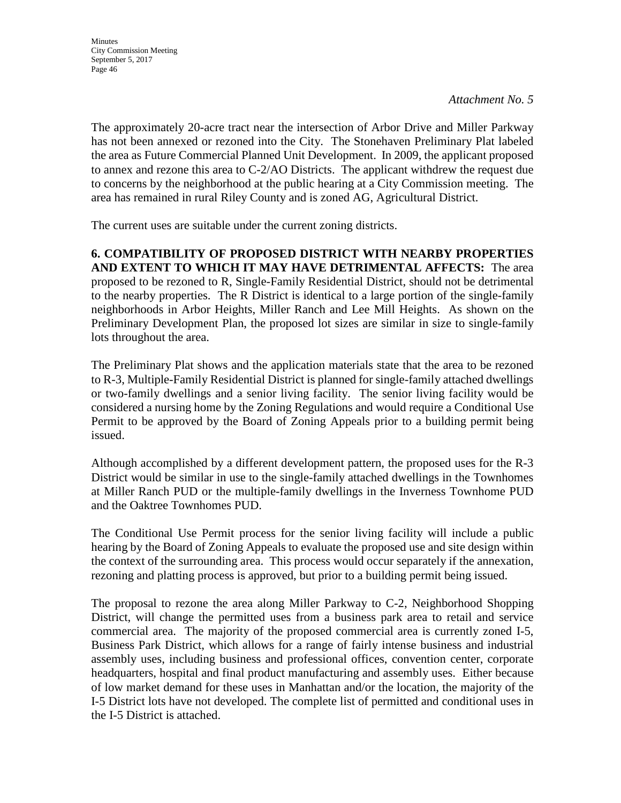*Attachment No. 5*

The approximately 20-acre tract near the intersection of Arbor Drive and Miller Parkway has not been annexed or rezoned into the City. The Stonehaven Preliminary Plat labeled the area as Future Commercial Planned Unit Development. In 2009, the applicant proposed to annex and rezone this area to C-2/AO Districts. The applicant withdrew the request due to concerns by the neighborhood at the public hearing at a City Commission meeting. The area has remained in rural Riley County and is zoned AG, Agricultural District.

The current uses are suitable under the current zoning districts.

#### **6. COMPATIBILITY OF PROPOSED DISTRICT WITH NEARBY PROPERTIES AND EXTENT TO WHICH IT MAY HAVE DETRIMENTAL AFFECTS:** The area proposed to be rezoned to R, Single-Family Residential District, should not be detrimental to the nearby properties. The R District is identical to a large portion of the single-family neighborhoods in Arbor Heights, Miller Ranch and Lee Mill Heights. As shown on the Preliminary Development Plan, the proposed lot sizes are similar in size to single-family lots throughout the area.

The Preliminary Plat shows and the application materials state that the area to be rezoned to R-3, Multiple-Family Residential District is planned for single-family attached dwellings or two-family dwellings and a senior living facility. The senior living facility would be considered a nursing home by the Zoning Regulations and would require a Conditional Use Permit to be approved by the Board of Zoning Appeals prior to a building permit being issued.

Although accomplished by a different development pattern, the proposed uses for the R-3 District would be similar in use to the single-family attached dwellings in the Townhomes at Miller Ranch PUD or the multiple-family dwellings in the Inverness Townhome PUD and the Oaktree Townhomes PUD.

The Conditional Use Permit process for the senior living facility will include a public hearing by the Board of Zoning Appeals to evaluate the proposed use and site design within the context of the surrounding area. This process would occur separately if the annexation, rezoning and platting process is approved, but prior to a building permit being issued.

The proposal to rezone the area along Miller Parkway to C-2, Neighborhood Shopping District, will change the permitted uses from a business park area to retail and service commercial area. The majority of the proposed commercial area is currently zoned I-5, Business Park District, which allows for a range of fairly intense business and industrial assembly uses, including business and professional offices, convention center, corporate headquarters, hospital and final product manufacturing and assembly uses. Either because of low market demand for these uses in Manhattan and/or the location, the majority of the I-5 District lots have not developed. The complete list of permitted and conditional uses in the I-5 District is attached.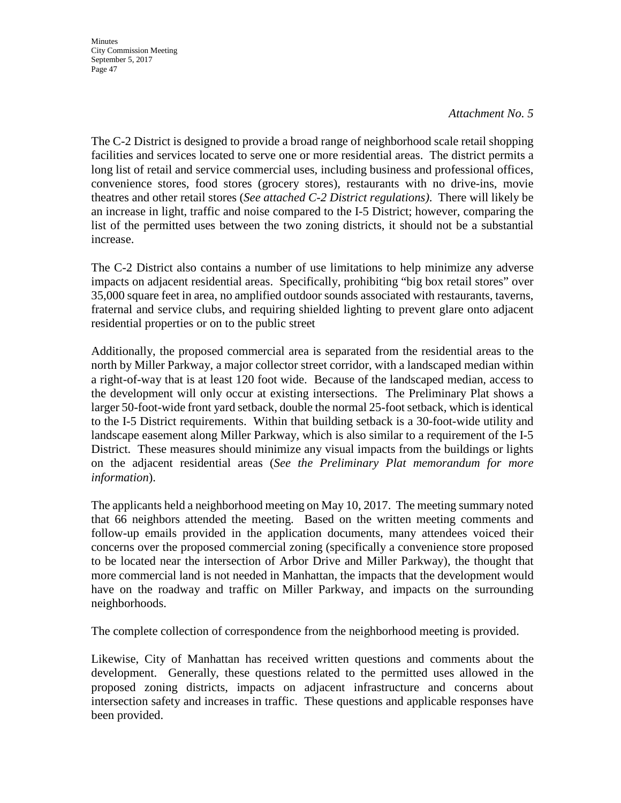#### *Attachment No. 5*

The C-2 District is designed to provide a broad range of neighborhood scale retail shopping facilities and services located to serve one or more residential areas. The district permits a long list of retail and service commercial uses, including business and professional offices, convenience stores, food stores (grocery stores), restaurants with no drive-ins, movie theatres and other retail stores (*See attached C-2 District regulations)*. There will likely be an increase in light, traffic and noise compared to the I-5 District; however, comparing the list of the permitted uses between the two zoning districts, it should not be a substantial increase.

The C-2 District also contains a number of use limitations to help minimize any adverse impacts on adjacent residential areas. Specifically, prohibiting "big box retail stores" over 35,000 square feet in area, no amplified outdoor sounds associated with restaurants, taverns, fraternal and service clubs, and requiring shielded lighting to prevent glare onto adjacent residential properties or on to the public street

Additionally, the proposed commercial area is separated from the residential areas to the north by Miller Parkway, a major collector street corridor, with a landscaped median within a right-of-way that is at least 120 foot wide. Because of the landscaped median, access to the development will only occur at existing intersections. The Preliminary Plat shows a larger 50-foot-wide front yard setback, double the normal 25-foot setback, which is identical to the I-5 District requirements. Within that building setback is a 30-foot-wide utility and landscape easement along Miller Parkway, which is also similar to a requirement of the I-5 District. These measures should minimize any visual impacts from the buildings or lights on the adjacent residential areas (*See the Preliminary Plat memorandum for more information*).

The applicants held a neighborhood meeting on May 10, 2017. The meeting summary noted that 66 neighbors attended the meeting. Based on the written meeting comments and follow-up emails provided in the application documents, many attendees voiced their concerns over the proposed commercial zoning (specifically a convenience store proposed to be located near the intersection of Arbor Drive and Miller Parkway), the thought that more commercial land is not needed in Manhattan, the impacts that the development would have on the roadway and traffic on Miller Parkway, and impacts on the surrounding neighborhoods.

The complete collection of correspondence from the neighborhood meeting is provided.

Likewise, City of Manhattan has received written questions and comments about the development. Generally, these questions related to the permitted uses allowed in the proposed zoning districts, impacts on adjacent infrastructure and concerns about intersection safety and increases in traffic. These questions and applicable responses have been provided.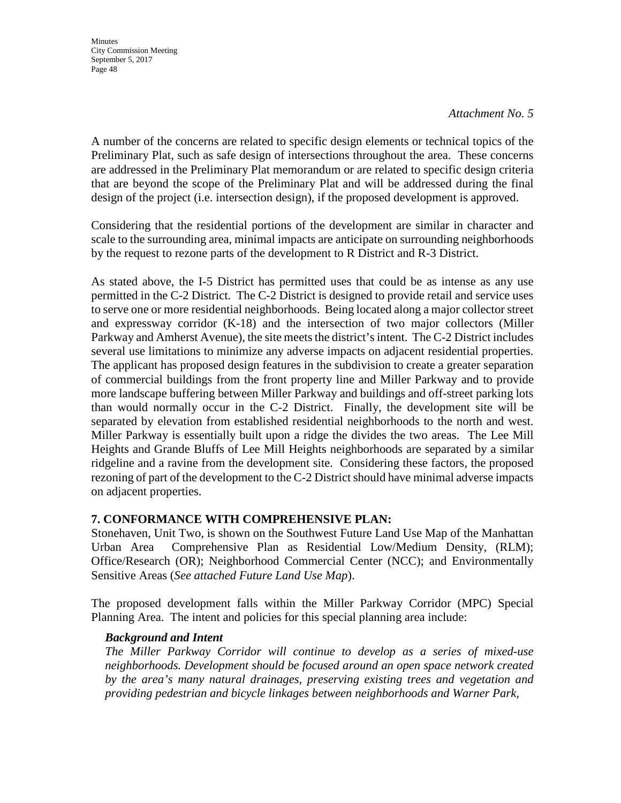#### *Attachment No. 5*

A number of the concerns are related to specific design elements or technical topics of the Preliminary Plat, such as safe design of intersections throughout the area. These concerns are addressed in the Preliminary Plat memorandum or are related to specific design criteria that are beyond the scope of the Preliminary Plat and will be addressed during the final design of the project (i.e. intersection design), if the proposed development is approved.

Considering that the residential portions of the development are similar in character and scale to the surrounding area, minimal impacts are anticipate on surrounding neighborhoods by the request to rezone parts of the development to R District and R-3 District.

As stated above, the I-5 District has permitted uses that could be as intense as any use permitted in the C-2 District. The C-2 District is designed to provide retail and service uses to serve one or more residential neighborhoods. Being located along a major collector street and expressway corridor (K-18) and the intersection of two major collectors (Miller Parkway and Amherst Avenue), the site meets the district's intent. The C-2 District includes several use limitations to minimize any adverse impacts on adjacent residential properties. The applicant has proposed design features in the subdivision to create a greater separation of commercial buildings from the front property line and Miller Parkway and to provide more landscape buffering between Miller Parkway and buildings and off-street parking lots than would normally occur in the C-2 District. Finally, the development site will be separated by elevation from established residential neighborhoods to the north and west. Miller Parkway is essentially built upon a ridge the divides the two areas. The Lee Mill Heights and Grande Bluffs of Lee Mill Heights neighborhoods are separated by a similar ridgeline and a ravine from the development site. Considering these factors, the proposed rezoning of part of the development to the C-2 District should have minimal adverse impacts on adjacent properties.

### **7. CONFORMANCE WITH COMPREHENSIVE PLAN:**

Stonehaven, Unit Two, is shown on the Southwest Future Land Use Map of the Manhattan Urban Area Comprehensive Plan as Residential Low/Medium Density, (RLM); Office/Research (OR); Neighborhood Commercial Center (NCC); and Environmentally Sensitive Areas (*See attached Future Land Use Map*).

The proposed development falls within the Miller Parkway Corridor (MPC) Special Planning Area. The intent and policies for this special planning area include:

### *Background and Intent*

*The Miller Parkway Corridor will continue to develop as a series of mixed-use neighborhoods. Development should be focused around an open space network created by the area's many natural drainages, preserving existing trees and vegetation and providing pedestrian and bicycle linkages between neighborhoods and Warner Park,*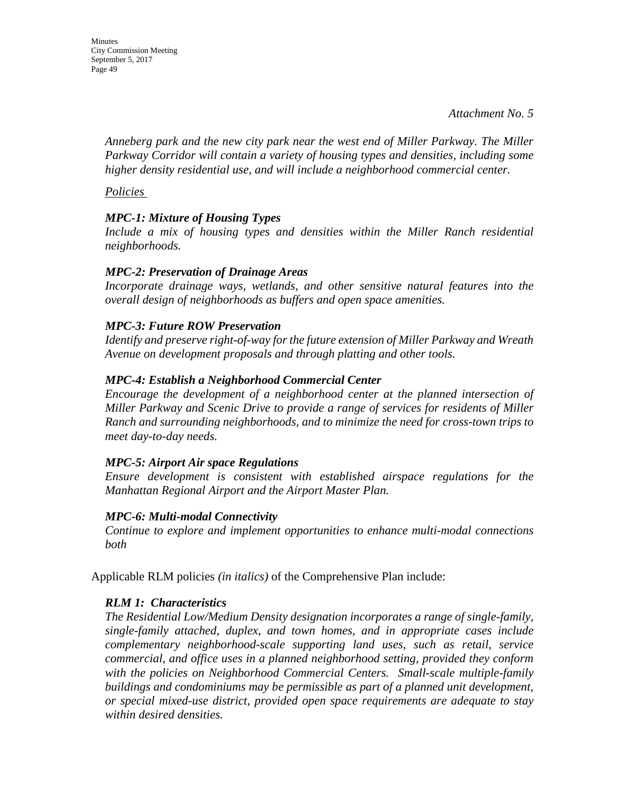*Anneberg park and the new city park near the west end of Miller Parkway. The Miller Parkway Corridor will contain a variety of housing types and densities, including some higher density residential use, and will include a neighborhood commercial center.* 

*Policies* 

## *MPC-1: Mixture of Housing Types*

*Include a mix of housing types and densities within the Miller Ranch residential neighborhoods.* 

### *MPC-2: Preservation of Drainage Areas*

*Incorporate drainage ways, wetlands, and other sensitive natural features into the overall design of neighborhoods as buffers and open space amenities.* 

## *MPC-3: Future ROW Preservation*

*Identify and preserve right-of-way for the future extension of Miller Parkway and Wreath Avenue on development proposals and through platting and other tools.* 

## *MPC-4: Establish a Neighborhood Commercial Center*

*Encourage the development of a neighborhood center at the planned intersection of Miller Parkway and Scenic Drive to provide a range of services for residents of Miller Ranch and surrounding neighborhoods, and to minimize the need for cross-town trips to meet day-to-day needs.* 

### *MPC-5: Airport Air space Regulations*

*Ensure development is consistent with established airspace regulations for the Manhattan Regional Airport and the Airport Master Plan.* 

### *MPC-6: Multi-modal Connectivity*

*Continue to explore and implement opportunities to enhance multi-modal connections both* 

Applicable RLM policies *(in italics)* of the Comprehensive Plan include:

### *RLM 1: Characteristics*

*The Residential Low/Medium Density designation incorporates a range of single-family, single-family attached, duplex, and town homes, and in appropriate cases include complementary neighborhood-scale supporting land uses, such as retail, service commercial, and office uses in a planned neighborhood setting, provided they conform with the policies on Neighborhood Commercial Centers. Small-scale multiple-family buildings and condominiums may be permissible as part of a planned unit development, or special mixed-use district, provided open space requirements are adequate to stay within desired densities.*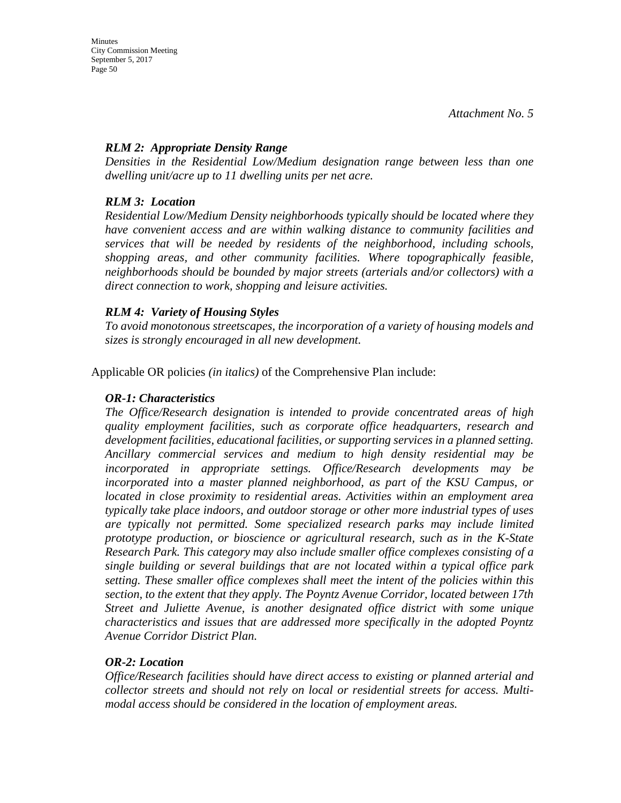### *RLM 2: Appropriate Density Range*

*Densities in the Residential Low/Medium designation range between less than one dwelling unit/acre up to 11 dwelling units per net acre.* 

### *RLM 3: Location*

*Residential Low/Medium Density neighborhoods typically should be located where they have convenient access and are within walking distance to community facilities and services that will be needed by residents of the neighborhood, including schools, shopping areas, and other community facilities. Where topographically feasible, neighborhoods should be bounded by major streets (arterials and/or collectors) with a direct connection to work, shopping and leisure activities.* 

#### *RLM 4: Variety of Housing Styles*

*To avoid monotonous streetscapes, the incorporation of a variety of housing models and sizes is strongly encouraged in all new development.* 

Applicable OR policies *(in italics)* of the Comprehensive Plan include:

#### *OR-1: Characteristics*

*The Office/Research designation is intended to provide concentrated areas of high quality employment facilities, such as corporate office headquarters, research and development facilities, educational facilities, or supporting services in a planned setting. Ancillary commercial services and medium to high density residential may be incorporated in appropriate settings. Office/Research developments may be incorporated into a master planned neighborhood, as part of the KSU Campus, or located in close proximity to residential areas. Activities within an employment area typically take place indoors, and outdoor storage or other more industrial types of uses are typically not permitted. Some specialized research parks may include limited prototype production, or bioscience or agricultural research, such as in the K-State Research Park. This category may also include smaller office complexes consisting of a single building or several buildings that are not located within a typical office park setting. These smaller office complexes shall meet the intent of the policies within this section, to the extent that they apply. The Poyntz Avenue Corridor, located between 17th Street and Juliette Avenue, is another designated office district with some unique characteristics and issues that are addressed more specifically in the adopted Poyntz Avenue Corridor District Plan.* 

### *OR-2: Location*

*Office/Research facilities should have direct access to existing or planned arterial and collector streets and should not rely on local or residential streets for access. Multimodal access should be considered in the location of employment areas.*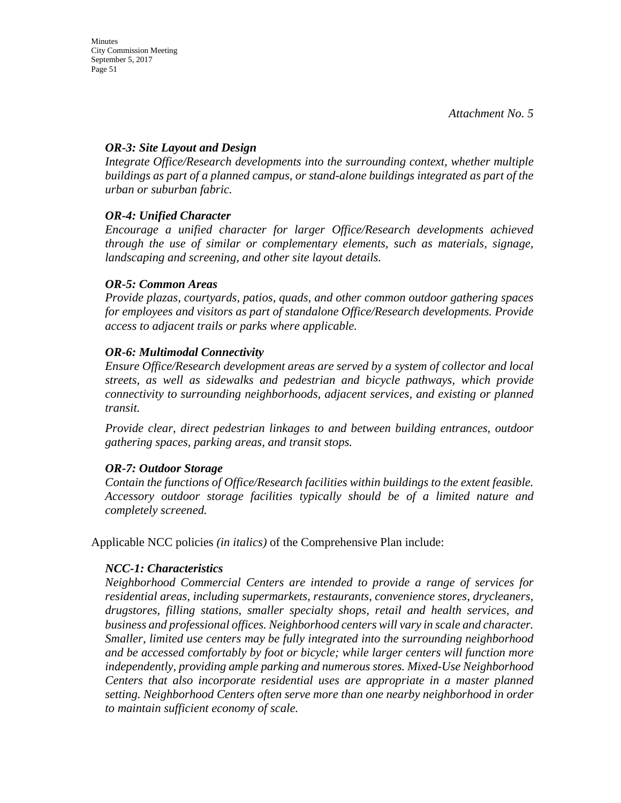#### *OR-3: Site Layout and Design*

*Integrate Office/Research developments into the surrounding context, whether multiple buildings as part of a planned campus, or stand-alone buildings integrated as part of the urban or suburban fabric.*

### *OR-4: Unified Character*

*Encourage a unified character for larger Office/Research developments achieved through the use of similar or complementary elements, such as materials, signage, landscaping and screening, and other site layout details.* 

#### *OR-5: Common Areas*

*Provide plazas, courtyards, patios, quads, and other common outdoor gathering spaces for employees and visitors as part of standalone Office/Research developments. Provide access to adjacent trails or parks where applicable.* 

#### *OR-6: Multimodal Connectivity*

*Ensure Office/Research development areas are served by a system of collector and local streets, as well as sidewalks and pedestrian and bicycle pathways, which provide connectivity to surrounding neighborhoods, adjacent services, and existing or planned transit.* 

*Provide clear, direct pedestrian linkages to and between building entrances, outdoor gathering spaces, parking areas, and transit stops.* 

### *OR-7: Outdoor Storage*

*Contain the functions of Office/Research facilities within buildings to the extent feasible. Accessory outdoor storage facilities typically should be of a limited nature and completely screened.*

Applicable NCC policies *(in italics)* of the Comprehensive Plan include:

### *NCC-1: Characteristics*

*Neighborhood Commercial Centers are intended to provide a range of services for residential areas, including supermarkets, restaurants, convenience stores, drycleaners, drugstores, filling stations, smaller specialty shops, retail and health services, and business and professional offices. Neighborhood centers will vary in scale and character. Smaller, limited use centers may be fully integrated into the surrounding neighborhood and be accessed comfortably by foot or bicycle; while larger centers will function more independently, providing ample parking and numerous stores. Mixed-Use Neighborhood Centers that also incorporate residential uses are appropriate in a master planned setting. Neighborhood Centers often serve more than one nearby neighborhood in order to maintain sufficient economy of scale.*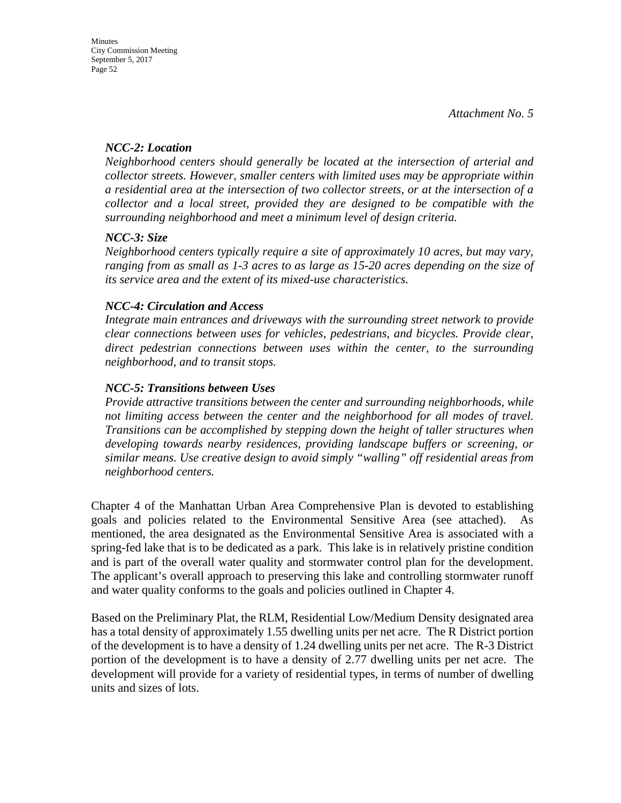#### *NCC-2: Location*

*Neighborhood centers should generally be located at the intersection of arterial and collector streets. However, smaller centers with limited uses may be appropriate within a residential area at the intersection of two collector streets, or at the intersection of a collector and a local street, provided they are designed to be compatible with the surrounding neighborhood and meet a minimum level of design criteria.*

#### *NCC-3: Size*

*Neighborhood centers typically require a site of approximately 10 acres, but may vary, ranging from as small as 1-3 acres to as large as 15-20 acres depending on the size of its service area and the extent of its mixed-use characteristics.* 

#### *NCC-4: Circulation and Access*

*Integrate main entrances and driveways with the surrounding street network to provide clear connections between uses for vehicles, pedestrians, and bicycles. Provide clear, direct pedestrian connections between uses within the center, to the surrounding neighborhood, and to transit stops.* 

#### *NCC-5: Transitions between Uses*

*Provide attractive transitions between the center and surrounding neighborhoods, while not limiting access between the center and the neighborhood for all modes of travel. Transitions can be accomplished by stepping down the height of taller structures when developing towards nearby residences, providing landscape buffers or screening, or similar means. Use creative design to avoid simply "walling" off residential areas from neighborhood centers.* 

Chapter 4 of the Manhattan Urban Area Comprehensive Plan is devoted to establishing goals and policies related to the Environmental Sensitive Area (see attached). As mentioned, the area designated as the Environmental Sensitive Area is associated with a spring-fed lake that is to be dedicated as a park. This lake is in relatively pristine condition and is part of the overall water quality and stormwater control plan for the development. The applicant's overall approach to preserving this lake and controlling stormwater runoff and water quality conforms to the goals and policies outlined in Chapter 4.

Based on the Preliminary Plat, the RLM, Residential Low/Medium Density designated area has a total density of approximately 1.55 dwelling units per net acre. The R District portion of the development is to have a density of 1.24 dwelling units per net acre. The R-3 District portion of the development is to have a density of 2.77 dwelling units per net acre. The development will provide for a variety of residential types, in terms of number of dwelling units and sizes of lots.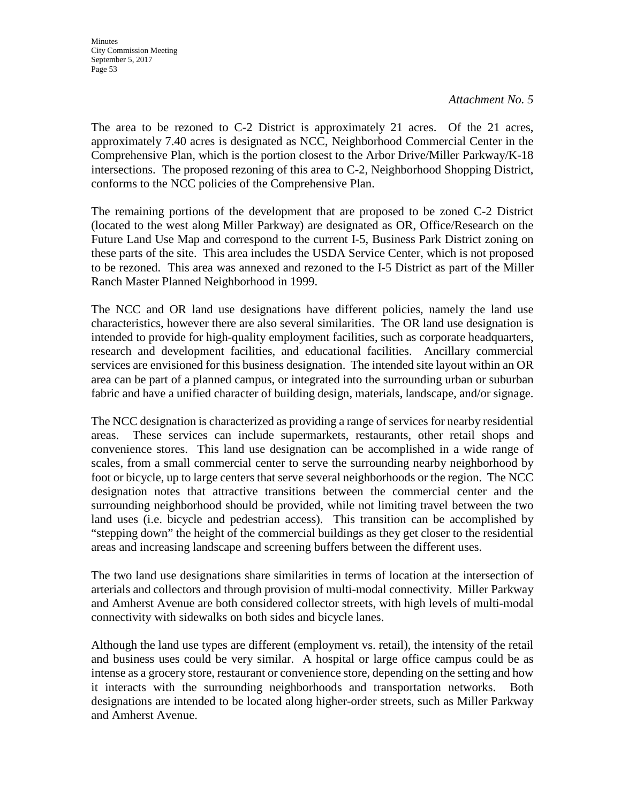*Attachment No. 5*

The area to be rezoned to C-2 District is approximately 21 acres. Of the 21 acres, approximately 7.40 acres is designated as NCC, Neighborhood Commercial Center in the Comprehensive Plan, which is the portion closest to the Arbor Drive/Miller Parkway/K-18 intersections. The proposed rezoning of this area to C-2, Neighborhood Shopping District, conforms to the NCC policies of the Comprehensive Plan.

The remaining portions of the development that are proposed to be zoned C-2 District (located to the west along Miller Parkway) are designated as OR, Office/Research on the Future Land Use Map and correspond to the current I-5, Business Park District zoning on these parts of the site. This area includes the USDA Service Center, which is not proposed to be rezoned. This area was annexed and rezoned to the I-5 District as part of the Miller Ranch Master Planned Neighborhood in 1999.

The NCC and OR land use designations have different policies, namely the land use characteristics, however there are also several similarities. The OR land use designation is intended to provide for high-quality employment facilities, such as corporate headquarters, research and development facilities, and educational facilities. Ancillary commercial services are envisioned for this business designation. The intended site layout within an OR area can be part of a planned campus, or integrated into the surrounding urban or suburban fabric and have a unified character of building design, materials, landscape, and/or signage.

The NCC designation is characterized as providing a range of services for nearby residential areas. These services can include supermarkets, restaurants, other retail shops and convenience stores. This land use designation can be accomplished in a wide range of scales, from a small commercial center to serve the surrounding nearby neighborhood by foot or bicycle, up to large centers that serve several neighborhoods or the region. The NCC designation notes that attractive transitions between the commercial center and the surrounding neighborhood should be provided, while not limiting travel between the two land uses (i.e. bicycle and pedestrian access). This transition can be accomplished by "stepping down" the height of the commercial buildings as they get closer to the residential areas and increasing landscape and screening buffers between the different uses.

The two land use designations share similarities in terms of location at the intersection of arterials and collectors and through provision of multi-modal connectivity. Miller Parkway and Amherst Avenue are both considered collector streets, with high levels of multi-modal connectivity with sidewalks on both sides and bicycle lanes.

Although the land use types are different (employment vs. retail), the intensity of the retail and business uses could be very similar. A hospital or large office campus could be as intense as a grocery store, restaurant or convenience store, depending on the setting and how it interacts with the surrounding neighborhoods and transportation networks. Both designations are intended to be located along higher-order streets, such as Miller Parkway and Amherst Avenue.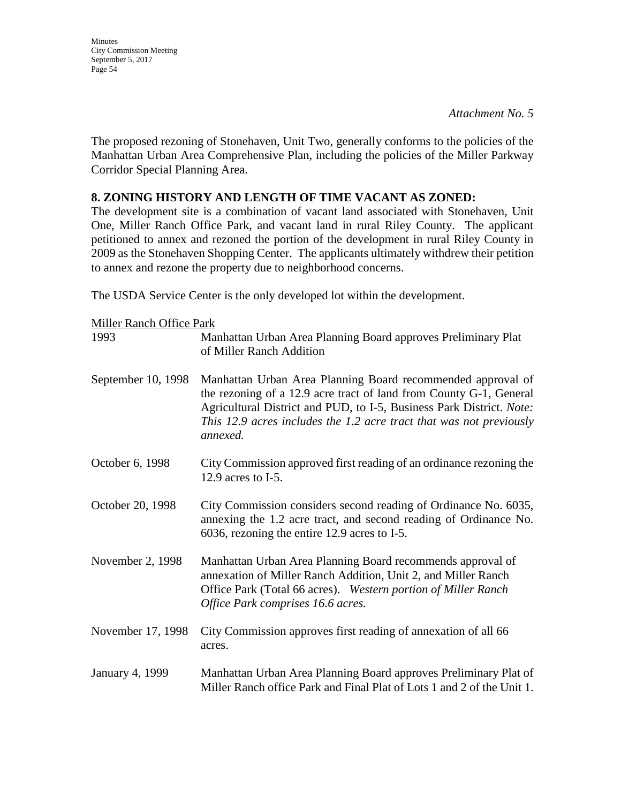*Attachment No. 5*

The proposed rezoning of Stonehaven, Unit Two, generally conforms to the policies of the Manhattan Urban Area Comprehensive Plan, including the policies of the Miller Parkway Corridor Special Planning Area.

### **8. ZONING HISTORY AND LENGTH OF TIME VACANT AS ZONED:**

The development site is a combination of vacant land associated with Stonehaven, Unit One, Miller Ranch Office Park, and vacant land in rural Riley County. The applicant petitioned to annex and rezoned the portion of the development in rural Riley County in 2009 as the Stonehaven Shopping Center. The applicants ultimately withdrew their petition to annex and rezone the property due to neighborhood concerns.

The USDA Service Center is the only developed lot within the development.

| <b>Miller Ranch Office Park</b> |                                                                                                                                                                                                                                                                                              |
|---------------------------------|----------------------------------------------------------------------------------------------------------------------------------------------------------------------------------------------------------------------------------------------------------------------------------------------|
| 1993                            | Manhattan Urban Area Planning Board approves Preliminary Plat<br>of Miller Ranch Addition                                                                                                                                                                                                    |
| September 10, 1998              | Manhattan Urban Area Planning Board recommended approval of<br>the rezoning of a 12.9 acre tract of land from County G-1, General<br>Agricultural District and PUD, to I-5, Business Park District. Note:<br>This 12.9 acres includes the 1.2 acre tract that was not previously<br>annexed. |
| October 6, 1998                 | City Commission approved first reading of an ordinance rezoning the<br>12.9 acres to $I-5$ .                                                                                                                                                                                                 |
| October 20, 1998                | City Commission considers second reading of Ordinance No. 6035,<br>annexing the 1.2 acre tract, and second reading of Ordinance No.<br>6036, rezoning the entire 12.9 acres to I-5.                                                                                                          |
| November 2, 1998                | Manhattan Urban Area Planning Board recommends approval of<br>annexation of Miller Ranch Addition, Unit 2, and Miller Ranch<br>Office Park (Total 66 acres). Western portion of Miller Ranch<br>Office Park comprises 16.6 acres.                                                            |
| November 17, 1998               | City Commission approves first reading of annexation of all 66<br>acres.                                                                                                                                                                                                                     |
| January 4, 1999                 | Manhattan Urban Area Planning Board approves Preliminary Plat of<br>Miller Ranch office Park and Final Plat of Lots 1 and 2 of the Unit 1.                                                                                                                                                   |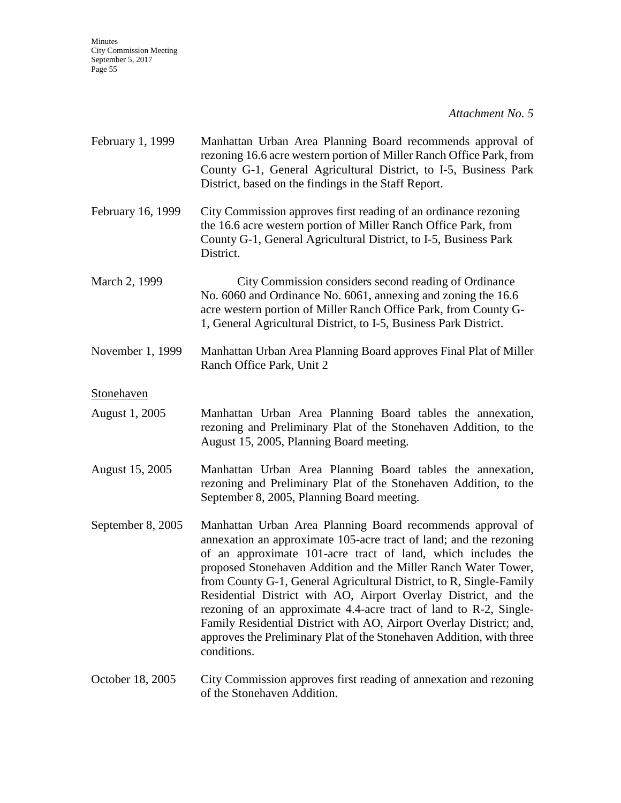*Attachment No. 5*

| February 1, 1999  | Manhattan Urban Area Planning Board recommends approval of<br>rezoning 16.6 acre western portion of Miller Ranch Office Park, from<br>County G-1, General Agricultural District, to I-5, Business Park<br>District, based on the findings in the Staff Report.                                                                                                                                                                                                                                                                                                                                                                                  |
|-------------------|-------------------------------------------------------------------------------------------------------------------------------------------------------------------------------------------------------------------------------------------------------------------------------------------------------------------------------------------------------------------------------------------------------------------------------------------------------------------------------------------------------------------------------------------------------------------------------------------------------------------------------------------------|
| February 16, 1999 | City Commission approves first reading of an ordinance rezoning<br>the 16.6 acre western portion of Miller Ranch Office Park, from<br>County G-1, General Agricultural District, to I-5, Business Park<br>District.                                                                                                                                                                                                                                                                                                                                                                                                                             |
| March 2, 1999     | City Commission considers second reading of Ordinance<br>No. 6060 and Ordinance No. 6061, annexing and zoning the 16.6<br>acre western portion of Miller Ranch Office Park, from County G-<br>1, General Agricultural District, to I-5, Business Park District.                                                                                                                                                                                                                                                                                                                                                                                 |
| November 1, 1999  | Manhattan Urban Area Planning Board approves Final Plat of Miller<br>Ranch Office Park, Unit 2                                                                                                                                                                                                                                                                                                                                                                                                                                                                                                                                                  |
| Stonehaven        |                                                                                                                                                                                                                                                                                                                                                                                                                                                                                                                                                                                                                                                 |
| August 1, 2005    | Manhattan Urban Area Planning Board tables the annexation,<br>rezoning and Preliminary Plat of the Stonehaven Addition, to the<br>August 15, 2005, Planning Board meeting.                                                                                                                                                                                                                                                                                                                                                                                                                                                                      |
| August 15, 2005   | Manhattan Urban Area Planning Board tables the annexation,<br>rezoning and Preliminary Plat of the Stonehaven Addition, to the<br>September 8, 2005, Planning Board meeting.                                                                                                                                                                                                                                                                                                                                                                                                                                                                    |
| September 8, 2005 | Manhattan Urban Area Planning Board recommends approval of<br>annexation an approximate 105-acre tract of land; and the rezoning<br>of an approximate 101-acre tract of land, which includes the<br>proposed Stonehaven Addition and the Miller Ranch Water Tower,<br>from County G-1, General Agricultural District, to R, Single-Family<br>Residential District with AO, Airport Overlay District, and the<br>rezoning of an approximate 4.4-acre tract of land to R-2, Single-<br>Family Residential District with AO, Airport Overlay District; and,<br>approves the Preliminary Plat of the Stonehaven Addition, with three<br>conditions. |
| October 18, 2005  | City Commission approves first reading of annexation and rezoning<br>of the Stonehaven Addition.                                                                                                                                                                                                                                                                                                                                                                                                                                                                                                                                                |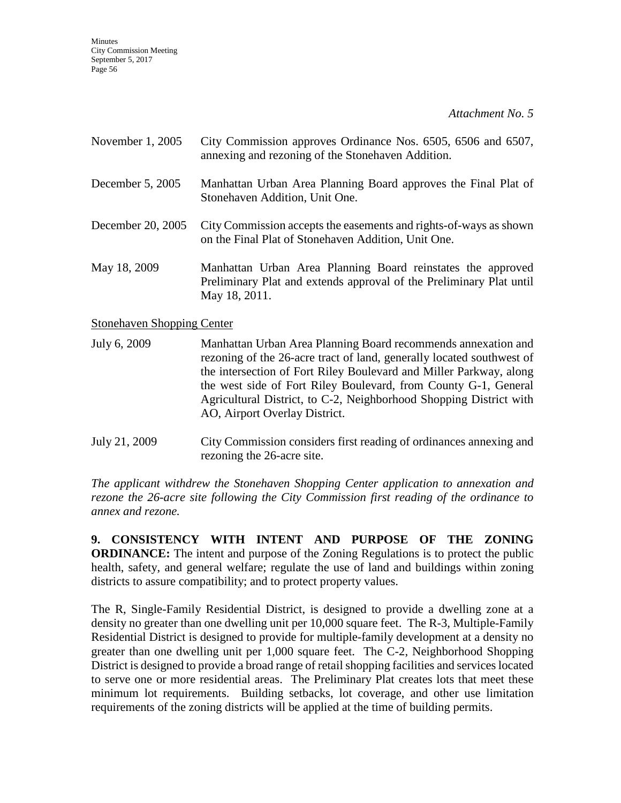*Attachment No. 5*

| November 1, 2005                  | City Commission approves Ordinance Nos. 6505, 6506 and 6507,<br>annexing and rezoning of the Stonehaven Addition.                                   |
|-----------------------------------|-----------------------------------------------------------------------------------------------------------------------------------------------------|
| December 5, 2005                  | Manhattan Urban Area Planning Board approves the Final Plat of<br>Stonehaven Addition, Unit One.                                                    |
| December 20, 2005                 | City Commission accepts the easements and rights-of-ways as shown<br>on the Final Plat of Stonehaven Addition, Unit One.                            |
| May 18, 2009                      | Manhattan Urban Area Planning Board reinstates the approved<br>Preliminary Plat and extends approval of the Preliminary Plat until<br>May 18, 2011. |
| <b>Stonehaven Shopping Center</b> |                                                                                                                                                     |

July 6, 2009 Manhattan Urban Area Planning Board recommends annexation and rezoning of the 26-acre tract of land, generally located southwest of the intersection of Fort Riley Boulevard and Miller Parkway, along the west side of Fort Riley Boulevard, from County G-1, General Agricultural District, to C-2, Neighborhood Shopping District with AO, Airport Overlay District.

July 21, 2009 City Commission considers first reading of ordinances annexing and rezoning the 26-acre site.

*The applicant withdrew the Stonehaven Shopping Center application to annexation and rezone the 26-acre site following the City Commission first reading of the ordinance to annex and rezone.*

**9. CONSISTENCY WITH INTENT AND PURPOSE OF THE ZONING ORDINANCE:** The intent and purpose of the Zoning Regulations is to protect the public health, safety, and general welfare; regulate the use of land and buildings within zoning districts to assure compatibility; and to protect property values.

The R, Single-Family Residential District, is designed to provide a dwelling zone at a density no greater than one dwelling unit per 10,000 square feet. The R-3, Multiple-Family Residential District is designed to provide for multiple-family development at a density no greater than one dwelling unit per 1,000 square feet. The C-2, Neighborhood Shopping District is designed to provide a broad range of retail shopping facilities and services located to serve one or more residential areas. The Preliminary Plat creates lots that meet these minimum lot requirements. Building setbacks, lot coverage, and other use limitation requirements of the zoning districts will be applied at the time of building permits.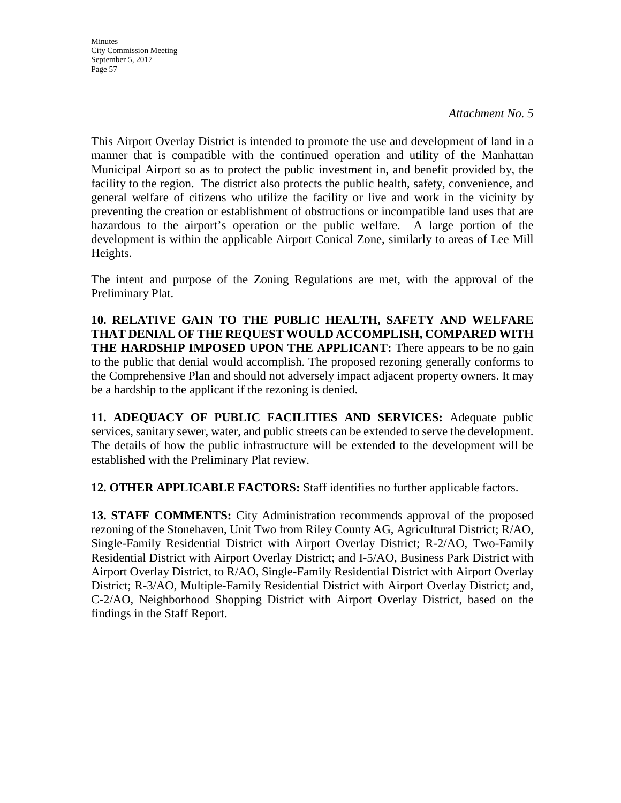**Minutes** City Commission Meeting September 5, 2017 Page 57

This Airport Overlay District is intended to promote the use and development of land in a manner that is compatible with the continued operation and utility of the Manhattan Municipal Airport so as to protect the public investment in, and benefit provided by, the facility to the region. The district also protects the public health, safety, convenience, and general welfare of citizens who utilize the facility or live and work in the vicinity by preventing the creation or establishment of obstructions or incompatible land uses that are hazardous to the airport's operation or the public welfare. A large portion of the development is within the applicable Airport Conical Zone, similarly to areas of Lee Mill Heights.

The intent and purpose of the Zoning Regulations are met, with the approval of the Preliminary Plat.

**10. RELATIVE GAIN TO THE PUBLIC HEALTH, SAFETY AND WELFARE THAT DENIAL OF THE REQUEST WOULD ACCOMPLISH, COMPARED WITH THE HARDSHIP IMPOSED UPON THE APPLICANT:** There appears to be no gain to the public that denial would accomplish. The proposed rezoning generally conforms to the Comprehensive Plan and should not adversely impact adjacent property owners. It may be a hardship to the applicant if the rezoning is denied.

**11. ADEQUACY OF PUBLIC FACILITIES AND SERVICES:** Adequate public services, sanitary sewer, water, and public streets can be extended to serve the development. The details of how the public infrastructure will be extended to the development will be established with the Preliminary Plat review.

**12. OTHER APPLICABLE FACTORS:** Staff identifies no further applicable factors.

**13. STAFF COMMENTS:** City Administration recommends approval of the proposed rezoning of the Stonehaven, Unit Two from Riley County AG, Agricultural District; R/AO, Single-Family Residential District with Airport Overlay District; R-2/AO, Two-Family Residential District with Airport Overlay District; and I-5/AO, Business Park District with Airport Overlay District, to R/AO, Single-Family Residential District with Airport Overlay District; R-3/AO, Multiple-Family Residential District with Airport Overlay District; and, C-2/AO, Neighborhood Shopping District with Airport Overlay District, based on the findings in the Staff Report.